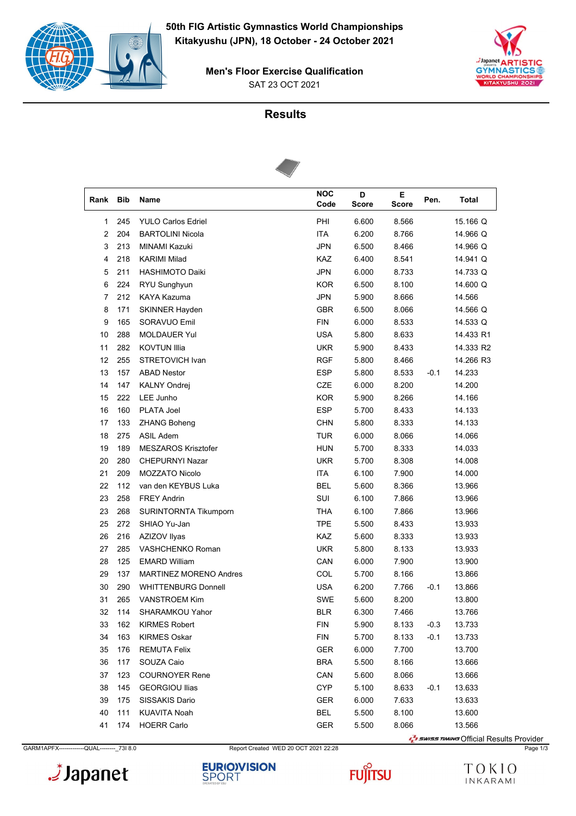

SAT 23 OCT 2021 **Men's Floor Exercise Qualification**



# **Results**



| Rank Bib |     | Name                          | <b>NOC</b><br>Code | D<br><b>Score</b> | Е<br><b>Score</b> | Pen.   | Total     |
|----------|-----|-------------------------------|--------------------|-------------------|-------------------|--------|-----------|
| 1        | 245 | <b>YULO Carlos Edriel</b>     | PHI                | 6.600             | 8.566             |        | 15.166 Q  |
| 2        | 204 | <b>BARTOLINI Nicola</b>       | <b>ITA</b>         | 6.200             | 8.766             |        | 14.966 Q  |
| 3        | 213 | MINAMI Kazuki                 | <b>JPN</b>         | 6.500             | 8.466             |        | 14.966 Q  |
| 4        | 218 | <b>KARIMI Milad</b>           | <b>KAZ</b>         | 6.400             | 8.541             |        | 14.941 Q  |
| 5        | 211 | <b>HASHIMOTO Daiki</b>        | <b>JPN</b>         | 6.000             | 8.733             |        | 14.733 Q  |
| 6        | 224 | RYU Sunghyun                  | <b>KOR</b>         | 6.500             | 8.100             |        | 14.600 Q  |
| 7        | 212 | <b>KAYA Kazuma</b>            | <b>JPN</b>         | 5.900             | 8.666             |        | 14.566    |
| 8        | 171 | <b>SKINNER Hayden</b>         | GBR                | 6.500             | 8.066             |        | 14.566 Q  |
| 9        | 165 | SORAVUO Emil                  | <b>FIN</b>         | 6.000             | 8.533             |        | 14.533 Q  |
| 10       | 288 | <b>MOLDAUER Yul</b>           | <b>USA</b>         | 5.800             | 8.633             |        | 14.433 R1 |
| 11       | 282 | <b>KOVTUN Illia</b>           | <b>UKR</b>         | 5.900             | 8.433             |        | 14.333 R2 |
| 12       | 255 | STRETOVICH Ivan               | <b>RGF</b>         | 5.800             | 8.466             |        | 14.266 R3 |
| 13       | 157 | <b>ABAD Nestor</b>            | <b>ESP</b>         | 5.800             | 8.533             | $-0.1$ | 14.233    |
| 14       | 147 | <b>KALNY Ondrej</b>           | CZE                | 6.000             | 8.200             |        | 14.200    |
| 15       | 222 | LEE Junho                     | KOR                | 5.900             | 8.266             |        | 14.166    |
| 16       | 160 | PLATA Joel                    | <b>ESP</b>         | 5.700             | 8.433             |        | 14.133    |
| 17       | 133 | <b>ZHANG Boheng</b>           | <b>CHN</b>         | 5.800             | 8.333             |        | 14.133    |
| 18       | 275 | <b>ASIL Adem</b>              | <b>TUR</b>         | 6.000             | 8.066             |        | 14.066    |
| 19       | 189 | <b>MESZAROS Krisztofer</b>    | <b>HUN</b>         | 5.700             | 8.333             |        | 14.033    |
| 20       | 280 | <b>CHEPURNYI Nazar</b>        | <b>UKR</b>         | 5.700             | 8.308             |        | 14.008    |
| 21       | 209 | MOZZATO Nicolo                | <b>ITA</b>         | 6.100             | 7.900             |        | 14.000    |
| 22       | 112 | van den KEYBUS Luka           | <b>BEL</b>         | 5.600             | 8.366             |        | 13.966    |
| 23       | 258 | <b>FREY Andrin</b>            | SUI                | 6.100             | 7.866             |        | 13.966    |
| 23       | 268 | SURINTORNTA Tikumporn         | THA                | 6.100             | 7.866             |        | 13.966    |
| 25       | 272 | SHIAO Yu-Jan                  | <b>TPE</b>         | 5.500             | 8.433             |        | 13.933    |
| 26       | 216 | AZIZOV Ilyas                  | <b>KAZ</b>         | 5.600             | 8.333             |        | 13.933    |
| 27       | 285 | VASHCHENKO Roman              | <b>UKR</b>         | 5.800             | 8.133             |        | 13.933    |
| 28       | 125 | <b>EMARD William</b>          | CAN                | 6.000             | 7.900             |        | 13.900    |
| 29       | 137 | <b>MARTINEZ MORENO Andres</b> | COL                | 5.700             | 8.166             |        | 13.866    |
| 30       | 290 | <b>WHITTENBURG Donnell</b>    | <b>USA</b>         | 6.200             | 7.766             | $-0.1$ | 13.866    |
| 31       | 265 | <b>VANSTROEM Kim</b>          | <b>SWE</b>         | 5.600             | 8.200             |        | 13.800    |
| 32       | 114 | SHARAMKOU Yahor               | <b>BLR</b>         | 6.300             | 7.466             |        | 13.766    |
| 33       | 162 | <b>KIRMES Robert</b>          | FIN                | 5.900             | 8.133             | $-0.3$ | 13.733    |
| 34       | 163 | <b>KIRMES Oskar</b>           | <b>FIN</b>         | 5.700             | 8.133             | $-0.1$ | 13.733    |
| 35       | 176 | <b>REMUTA Felix</b>           | <b>GER</b>         | 6.000             | 7.700             |        | 13.700    |
| 36       | 117 | SOUZA Caio                    | <b>BRA</b>         | 5.500             | 8.166             |        | 13.666    |
| 37       | 123 | <b>COURNOYER Rene</b>         | CAN                | 5.600             | 8.066             |        | 13.666    |
| 38       | 145 | <b>GEORGIOU Ilias</b>         | <b>CYP</b>         | 5.100             | 8.633             | $-0.1$ | 13.633    |
| 39       | 175 | SISSAKIS Dario                | <b>GER</b>         | 6.000             | 7.633             |        | 13.633    |
| 40       | 111 | <b>KUAVITA Noah</b>           | <b>BEL</b>         | 5.500             | 8.100             |        | 13.600    |
| 41       | 174 | <b>HOERR Carlo</b>            | GER                | 5.500             | 8.066             |        | 13.566    |

GARM1APFX------------QUAL---------\_73I 8.0 Report Created WED 20 OCT 2021 22:28 Page 1/3

Japanet.



Surface Transformal Results Provider

**FUJITSU** 

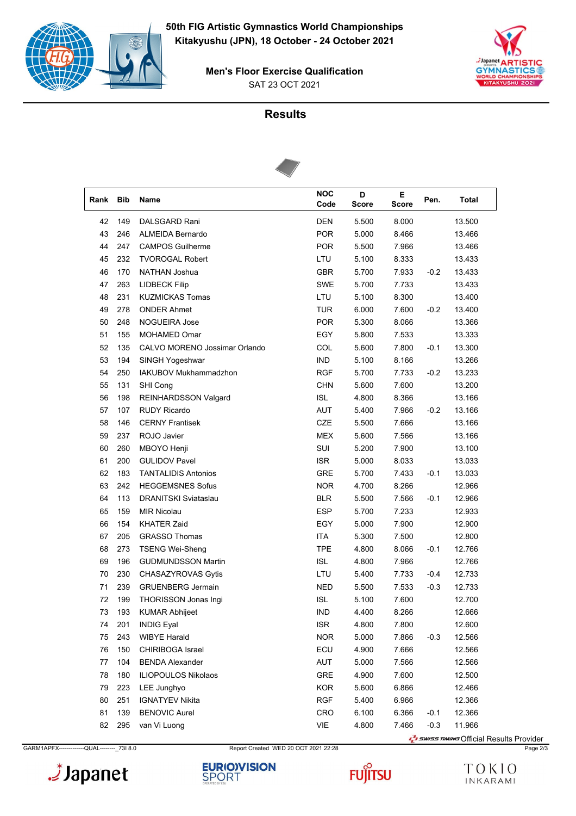

SAT 23 OCT 2021 **Men's Floor Exercise Qualification**



# **Results**



| Rank | <b>Bib</b> | Name                          | <b>NOC</b><br>Code | D<br><b>Score</b> | Е<br>Score | Pen.   | <b>Total</b> |
|------|------------|-------------------------------|--------------------|-------------------|------------|--------|--------------|
| 42   | 149        | DALSGARD Rani                 | <b>DEN</b>         | 5.500             | 8.000      |        | 13.500       |
| 43   | 246        | <b>ALMEIDA Bernardo</b>       | <b>POR</b>         | 5.000             | 8.466      |        | 13.466       |
| 44   | 247        | <b>CAMPOS Guilherme</b>       | <b>POR</b>         | 5.500             | 7.966      |        | 13.466       |
| 45   | 232        | <b>TVOROGAL Robert</b>        | LTU                | 5.100             | 8.333      |        | 13.433       |
| 46   | 170        | NATHAN Joshua                 | <b>GBR</b>         | 5.700             | 7.933      | $-0.2$ | 13.433       |
| 47   | 263        | <b>LIDBECK Filip</b>          | <b>SWE</b>         | 5.700             | 7.733      |        | 13.433       |
| 48   | 231        | <b>KUZMICKAS Tomas</b>        | LTU                | 5.100             | 8.300      |        | 13.400       |
| 49   | 278        | <b>ONDER Ahmet</b>            | <b>TUR</b>         | 6.000             | 7.600      | $-0.2$ | 13.400       |
| 50   | 248        | <b>NOGUEIRA Jose</b>          | <b>POR</b>         | 5.300             | 8.066      |        | 13.366       |
| 51   | 155        | MOHAMED Omar                  | EGY                | 5.800             | 7.533      |        | 13.333       |
| 52   | 135        | CALVO MORENO Jossimar Orlando | COL                | 5.600             | 7.800      | $-0.1$ | 13.300       |
| 53   | 194        | SINGH Yogeshwar               | <b>IND</b>         | 5.100             | 8.166      |        | 13.266       |
| 54   | 250        | IAKUBOV Mukhammadzhon         | <b>RGF</b>         | 5.700             | 7.733      | $-0.2$ | 13.233       |
| 55   | 131        | SHI Cong                      | <b>CHN</b>         | 5.600             | 7.600      |        | 13.200       |
| 56   | 198        | REINHARDSSON Valgard          | <b>ISL</b>         | 4.800             | 8.366      |        | 13.166       |
| 57   | 107        | <b>RUDY Ricardo</b>           | AUT                | 5.400             | 7.966      | $-0.2$ | 13.166       |
| 58   | 146        | <b>CERNY Frantisek</b>        | CZE                | 5.500             | 7.666      |        | 13.166       |
| 59   | 237        | ROJO Javier                   | <b>MEX</b>         | 5.600             | 7.566      |        | 13.166       |
| 60   | 260        | MBOYO Henji                   | SUI                | 5.200             | 7.900      |        | 13.100       |
| 61   | 200        | <b>GULIDOV Pavel</b>          | <b>ISR</b>         | 5.000             | 8.033      |        | 13.033       |
| 62   | 183        | <b>TANTALIDIS Antonios</b>    | <b>GRE</b>         | 5.700             | 7.433      | $-0.1$ | 13.033       |
| 63   | 242        | <b>HEGGEMSNES Sofus</b>       | <b>NOR</b>         | 4.700             | 8.266      |        | 12.966       |
| 64   | 113        | <b>DRANITSKI Sviataslau</b>   | <b>BLR</b>         | 5.500             | 7.566      | $-0.1$ | 12.966       |
| 65   | 159        | <b>MIR Nicolau</b>            | <b>ESP</b>         | 5.700             | 7.233      |        | 12.933       |
| 66   | 154        | <b>KHATER Zaid</b>            | EGY                | 5.000             | 7.900      |        | 12.900       |
| 67   | 205        | <b>GRASSO Thomas</b>          | <b>ITA</b>         | 5.300             | 7.500      |        | 12.800       |
| 68   | 273        | <b>TSENG Wei-Sheng</b>        | <b>TPE</b>         | 4.800             | 8.066      | $-0.1$ | 12.766       |
| 69   | 196        | <b>GUDMUNDSSON Martin</b>     | ISL                | 4.800             | 7.966      |        | 12.766       |
| 70   | 230        | CHASAZYROVAS Gytis            | LTU                | 5.400             | 7.733      | $-0.4$ | 12.733       |
| 71   | 239        | <b>GRUENBERG Jermain</b>      | <b>NED</b>         | 5.500             | 7.533      | $-0.3$ | 12.733       |
| 72   | 199        | THORISSON Jonas Ingi          | <b>ISL</b>         | 5.100             | 7.600      |        | 12.700       |
| 73   | 193        | KUMAR Abhijeet                | <b>IND</b>         | 4.400             | 8.266      |        | 12.666       |
| 74   | 201        | <b>INDIG Eyal</b>             | ISR.               | 4.800             | 7.800      |        | 12.600       |
| 75   | 243        | <b>WIBYE Harald</b>           | <b>NOR</b>         | 5.000             | 7.866      | $-0.3$ | 12.566       |
| 76   | 150        | CHIRIBOGA Israel              | ECU                | 4.900             | 7.666      |        | 12.566       |
| 77   | 104        | <b>BENDA Alexander</b>        | AUT                | 5.000             | 7.566      |        | 12.566       |
| 78   | 180        | <b>ILIOPOULOS Nikolaos</b>    | GRE                | 4.900             | 7.600      |        | 12.500       |
| 79   | 223        | LEE Junghyo                   | <b>KOR</b>         | 5.600             | 6.866      |        | 12.466       |
| 80   | 251        | <b>IGNATYEV Nikita</b>        | <b>RGF</b>         | 5.400             | 6.966      |        | 12.366       |
| 81   | 139        | <b>BENOVIC Aurel</b>          | <b>CRO</b>         | 6.100             | 6.366      | $-0.1$ | 12.366       |
| 82   | 295        | van Vi Luong                  | VIE                | 4.800             | 7.466      | $-0.3$ | 11.966       |

GARM1APFX-------------QUAL--------\_73I 8.0 Report Created WED 20 OCT 2021 22:28 Page 2/3





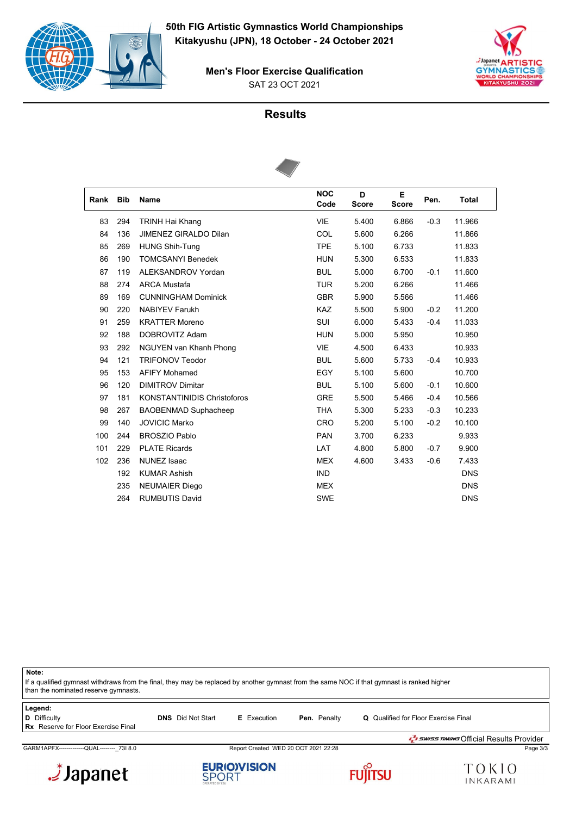

SAT 23 OCT 2021 **Men's Floor Exercise Qualification**



#### **Results**



| Rank | <b>Bib</b> | <b>Name</b>                        | <b>NOC</b><br>Code | D<br><b>Score</b> | Е<br><b>Score</b> | Pen.   | <b>Total</b> |
|------|------------|------------------------------------|--------------------|-------------------|-------------------|--------|--------------|
| 83   | 294        | <b>TRINH Hai Khang</b>             | <b>VIE</b>         | 5.400             | 6.866             | $-0.3$ | 11.966       |
| 84   | 136        | <b>JIMENEZ GIRALDO Dilan</b>       | COL                | 5.600             | 6.266             |        | 11.866       |
| 85   | 269        | <b>HUNG Shih-Tung</b>              | <b>TPE</b>         | 5.100             | 6.733             |        | 11.833       |
| 86   | 190        | <b>TOMCSANYI Benedek</b>           | <b>HUN</b>         | 5.300             | 6.533             |        | 11.833       |
| 87   | 119        | ALEKSANDROV Yordan                 | <b>BUL</b>         | 5.000             | 6.700             | $-0.1$ | 11.600       |
| 88   | 274        | <b>ARCA Mustafa</b>                | <b>TUR</b>         | 5.200             | 6.266             |        | 11.466       |
| 89   | 169        | <b>CUNNINGHAM Dominick</b>         | <b>GBR</b>         | 5.900             | 5.566             |        | 11.466       |
| 90   | 220        | <b>NABIYEV Farukh</b>              | <b>KAZ</b>         | 5.500             | 5.900             | $-0.2$ | 11.200       |
| 91   | 259        | <b>KRATTER Moreno</b>              | <b>SUI</b>         | 6.000             | 5.433             | $-0.4$ | 11.033       |
| 92   | 188        | DOBROVITZ Adam                     | <b>HUN</b>         | 5.000             | 5.950             |        | 10.950       |
| 93   | 292        | NGUYEN van Khanh Phong             | <b>VIE</b>         | 4.500             | 6.433             |        | 10.933       |
| 94   | 121        | <b>TRIFONOV Teodor</b>             | <b>BUL</b>         | 5.600             | 5.733             | $-0.4$ | 10.933       |
| 95   | 153        | <b>AFIFY Mohamed</b>               | EGY                | 5.100             | 5.600             |        | 10.700       |
| 96   | 120        | <b>DIMITROV Dimitar</b>            | <b>BUL</b>         | 5.100             | 5.600             | $-0.1$ | 10.600       |
| 97   | 181        | <b>KONSTANTINIDIS Christoforos</b> | <b>GRE</b>         | 5.500             | 5.466             | $-0.4$ | 10.566       |
| 98   | 267        | <b>BAOBENMAD Suphacheep</b>        | <b>THA</b>         | 5.300             | 5.233             | $-0.3$ | 10.233       |
| 99   | 140        | <b>JOVICIC Marko</b>               | <b>CRO</b>         | 5.200             | 5.100             | $-0.2$ | 10.100       |
| 100  | 244        | <b>BROSZIO Pablo</b>               | <b>PAN</b>         | 3.700             | 6.233             |        | 9.933        |
| 101  | 229        | <b>PLATE Ricards</b>               | LAT                | 4.800             | 5.800             | $-0.7$ | 9.900        |
| 102  | 236        | <b>NUNEZ Isaac</b>                 | <b>MEX</b>         | 4.600             | 3.433             | $-0.6$ | 7.433        |
|      | 192        | <b>KUMAR Ashish</b>                | <b>IND</b>         |                   |                   |        | <b>DNS</b>   |
|      | 235        | <b>NEUMAIER Diego</b>              | <b>MEX</b>         |                   |                   |        | <b>DNS</b>   |
|      | 264        | <b>RUMBUTIS David</b>              | <b>SWE</b>         |                   |                   |        | <b>DNS</b>   |

**Note:** If a qualified gymnast withdraws from the final, they may be replaced by another gymnast from the same NOC if that gymnast is ranked higher than the nominated reserve gymnasts. **Legend: D** Difficulty **DIS** Did Not Start **E** Execution **Pen.** Penalty **Q** Qualified for Floor Exercise Final **Rx** Reserve for Floor Exercise Final

GARM1APFX-------------QUAL--------\_73I 8.0 Report Created WED 20 OCT 2021 22:28 Page 3/3







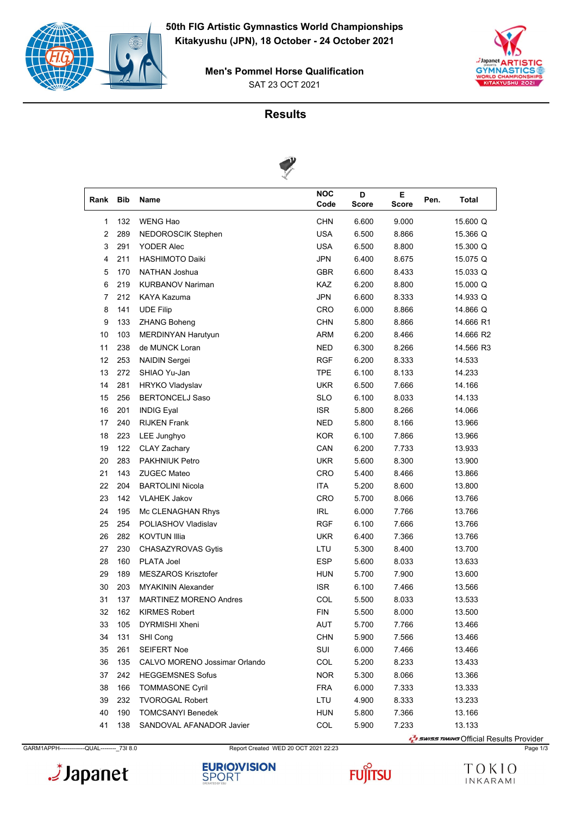

SAT 23 OCT 2021 **Men's Pommel Horse Qualification**





| Rank | <b>Bib</b> | Name                          | <b>NOC</b><br>Code | D<br><b>Score</b> | Е.<br><b>Score</b> | Pen. | Total     |
|------|------------|-------------------------------|--------------------|-------------------|--------------------|------|-----------|
| 1    | 132        | <b>WENG Hao</b>               | <b>CHN</b>         | 6.600             | 9.000              |      | 15.600 Q  |
| 2    | 289        | NEDOROSCIK Stephen            | <b>USA</b>         | 6.500             | 8.866              |      | 15.366 Q  |
| 3    | 291        | <b>YODER Alec</b>             | <b>USA</b>         | 6.500             | 8.800              |      | 15.300 Q  |
| 4    | 211        | <b>HASHIMOTO Daiki</b>        | <b>JPN</b>         | 6.400             | 8.675              |      | 15.075 Q  |
| 5    | 170        | NATHAN Joshua                 | <b>GBR</b>         | 6.600             | 8.433              |      | 15.033 Q  |
| 6    | 219        | <b>KURBANOV Nariman</b>       | KAZ                | 6.200             | 8.800              |      | 15.000 Q  |
| 7    | 212        | KAYA Kazuma                   | <b>JPN</b>         | 6.600             | 8.333              |      | 14.933 Q  |
| 8    | 141        | <b>UDE Filip</b>              | CRO                | 6.000             | 8.866              |      | 14.866 Q  |
| 9    | 133        | <b>ZHANG Boheng</b>           | <b>CHN</b>         | 5.800             | 8.866              |      | 14.666 R1 |
| 10   | 103        | MERDINYAN Harutyun            | <b>ARM</b>         | 6.200             | 8.466              |      | 14.666 R2 |
| 11   | 238        | de MUNCK Loran                | <b>NED</b>         | 6.300             | 8.266              |      | 14.566 R3 |
| 12   | 253        | <b>NAIDIN Sergei</b>          | RGF                | 6.200             | 8.333              |      | 14.533    |
| 13   | 272        | SHIAO Yu-Jan                  | TPE                | 6.100             | 8.133              |      | 14.233    |
| 14   | 281        | <b>HRYKO Vladyslav</b>        | <b>UKR</b>         | 6.500             | 7.666              |      | 14.166    |
| 15   | 256        | <b>BERTONCELJ Saso</b>        | <b>SLO</b>         | 6.100             | 8.033              |      | 14.133    |
| 16   | 201        | <b>INDIG Eyal</b>             | <b>ISR</b>         | 5.800             | 8.266              |      | 14.066    |
| 17   | 240        | <b>RIJKEN Frank</b>           | <b>NED</b>         | 5.800             | 8.166              |      | 13.966    |
| 18   | 223        | LEE Junghyo                   | <b>KOR</b>         | 6.100             | 7.866              |      | 13.966    |
| 19   | 122        | CLAY Zachary                  | CAN                | 6.200             | 7.733              |      | 13.933    |
| 20   | 283        | <b>PAKHNIUK Petro</b>         | <b>UKR</b>         | 5.600             | 8.300              |      | 13.900    |
| 21   | 143        | <b>ZUGEC Mateo</b>            | CRO                | 5.400             | 8.466              |      | 13.866    |
| 22   | 204        | <b>BARTOLINI Nicola</b>       | <b>ITA</b>         | 5.200             | 8.600              |      | 13.800    |
| 23   | 142        | <b>VLAHEK Jakov</b>           | CRO                | 5.700             | 8.066              |      | 13.766    |
| 24   | 195        | Mc CLENAGHAN Rhys             | <b>IRL</b>         | 6.000             | 7.766              |      | 13.766    |
| 25   | 254        | POLIASHOV Vladislav           | RGF                | 6.100             | 7.666              |      | 13.766    |
| 26   | 282        | <b>KOVTUN Illia</b>           | <b>UKR</b>         | 6.400             | 7.366              |      | 13.766    |
| 27   | 230        | CHASAZYROVAS Gytis            | LTU                | 5.300             | 8.400              |      | 13.700    |
| 28   | 160        | <b>PLATA Joel</b>             | ESP                | 5.600             | 8.033              |      | 13.633    |
| 29   | 189        | <b>MESZAROS Krisztofer</b>    | <b>HUN</b>         | 5.700             | 7.900              |      | 13.600    |
| 30   | 203        | <b>MYAKININ Alexander</b>     | <b>ISR</b>         | 6.100             | 7.466              |      | 13.566    |
| 31   | 137        | <b>MARTINEZ MORENO Andres</b> | COL                | 5.500             | 8.033              |      | 13.533    |
| 32   | 162        | <b>KIRMES Robert</b>          | <b>FIN</b>         | 5.500             | 8.000              |      | 13.500    |
| 33   | 105        | DYRMISHI Xheni                | AUT                | 5.700             | 7.766              |      | 13.466    |
| 34   | 131        | SHI Cong                      | <b>CHN</b>         | 5.900             | 7.566              |      | 13.466    |
| 35   | 261        | <b>SEIFERT Noe</b>            | SUI                | 6.000             | 7.466              |      | 13.466    |
| 36   | 135        | CALVO MORENO Jossimar Orlando | COL                | 5.200             | 8.233              |      | 13.433    |
| 37   | 242        | <b>HEGGEMSNES Sofus</b>       | <b>NOR</b>         | 5.300             | 8.066              |      | 13.366    |
| 38   | 166        | <b>TOMMASONE Cyril</b>        | <b>FRA</b>         | 6.000             | 7.333              |      | 13.333    |
| 39   | 232        | <b>TVOROGAL Robert</b>        | LTU                | 4.900             | 8.333              |      | 13.233    |
| 40   | 190        | <b>TOMCSANYI Benedek</b>      | <b>HUN</b>         | 5.800             | 7.366              |      | 13.166    |
| 41   | 138        | SANDOVAL AFANADOR Javier      | COL                | 5.900             | 7.233              |      | 13.133    |

GARM1APPH-------------QUAL---------- 73I 8.0 Report Created WED 20 OCT 2021 22:23 Page 1/3 Page 1/3





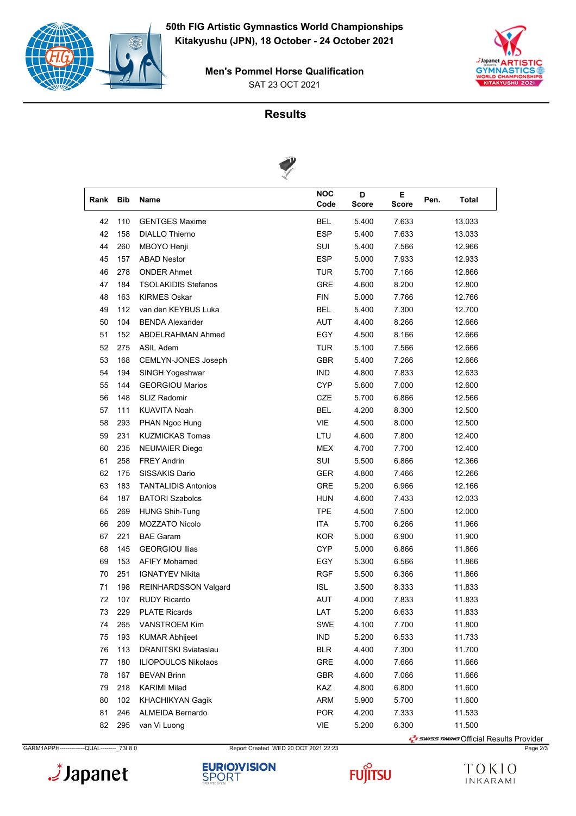

SAT 23 OCT 2021 **Men's Pommel Horse Qualification**





| Rank | <b>Bib</b> | Name                        | <b>NOC</b><br>Code | D<br><b>Score</b> | E.<br>Score | Pen. | Total  |
|------|------------|-----------------------------|--------------------|-------------------|-------------|------|--------|
| 42   | 110        | <b>GENTGES Maxime</b>       | <b>BEL</b>         | 5.400             | 7.633       |      | 13.033 |
| 42   | 158        | <b>DIALLO Thierno</b>       | <b>ESP</b>         | 5.400             | 7.633       |      | 13.033 |
| 44   | 260        | MBOYO Henji                 | SUI                | 5.400             | 7.566       |      | 12.966 |
| 45   | 157        | <b>ABAD Nestor</b>          | <b>ESP</b>         | 5.000             | 7.933       |      | 12.933 |
| 46   | 278        | <b>ONDER Ahmet</b>          | TUR                | 5.700             | 7.166       |      | 12.866 |
| 47   | 184        | <b>TSOLAKIDIS Stefanos</b>  | GRE                | 4.600             | 8.200       |      | 12.800 |
| 48   | 163        | <b>KIRMES Oskar</b>         | <b>FIN</b>         | 5.000             | 7.766       |      | 12.766 |
| 49   | 112        | van den KEYBUS Luka         | <b>BEL</b>         | 5.400             | 7.300       |      | 12.700 |
| 50   | 104        | <b>BENDA Alexander</b>      | AUT                | 4.400             | 8.266       |      | 12.666 |
| 51   | 152        | ABDELRAHMAN Ahmed           | EGY                | 4.500             | 8.166       |      | 12.666 |
| 52   | 275        | ASIL Adem                   | TUR                | 5.100             | 7.566       |      | 12.666 |
| 53   | 168        | CEMLYN-JONES Joseph         | <b>GBR</b>         | 5.400             | 7.266       |      | 12.666 |
| 54   | 194        | SINGH Yogeshwar             | <b>IND</b>         | 4.800             | 7.833       |      | 12.633 |
| 55   | 144        | <b>GEORGIOU Marios</b>      | <b>CYP</b>         | 5.600             | 7.000       |      | 12.600 |
| 56   | 148        | <b>SLIZ Radomir</b>         | CZE                | 5.700             | 6.866       |      | 12.566 |
| 57   | 111        | <b>KUAVITA Noah</b>         | <b>BEL</b>         | 4.200             | 8.300       |      | 12.500 |
| 58   | 293        | PHAN Ngoc Hung              | <b>VIE</b>         | 4.500             | 8.000       |      | 12.500 |
| 59   | 231        | <b>KUZMICKAS Tomas</b>      | LTU                | 4.600             | 7.800       |      | 12.400 |
| 60   | 235        | <b>NEUMAIER Diego</b>       | <b>MEX</b>         | 4.700             | 7.700       |      | 12.400 |
| 61   | 258        | <b>FREY Andrin</b>          | SUI                | 5.500             | 6.866       |      | 12.366 |
| 62   | 175        | SISSAKIS Dario              | <b>GER</b>         | 4.800             | 7.466       |      | 12.266 |
| 63   | 183        | <b>TANTALIDIS Antonios</b>  | <b>GRE</b>         | 5.200             | 6.966       |      | 12.166 |
| 64   | 187        | <b>BATORI Szabolcs</b>      | <b>HUN</b>         | 4.600             | 7.433       |      | 12.033 |
| 65   | 269        | <b>HUNG Shih-Tung</b>       | <b>TPE</b>         | 4.500             | 7.500       |      | 12.000 |
| 66   | 209        | MOZZATO Nicolo              | <b>ITA</b>         | 5.700             | 6.266       |      | 11.966 |
| 67   | 221        | <b>BAE Garam</b>            | <b>KOR</b>         | 5.000             | 6.900       |      | 11.900 |
| 68   | 145        | <b>GEORGIOU Ilias</b>       | <b>CYP</b>         | 5.000             | 6.866       |      | 11.866 |
| 69   | 153        | <b>AFIFY Mohamed</b>        | EGY                | 5.300             | 6.566       |      | 11.866 |
| 70   | 251        | <b>IGNATYEV Nikita</b>      | RGF                | 5.500             | 6.366       |      | 11.866 |
| 71   | 198        | <b>REINHARDSSON Valgard</b> | <b>ISL</b>         | 3.500             | 8.333       |      | 11.833 |
| 72   | 107        | <b>RUDY Ricardo</b>         | <b>AUT</b>         | 4.000             | 7.833       |      | 11.833 |
| 73   | 229        | <b>PLATE Ricards</b>        | LAT                | 5.200             | 6.633       |      | 11.833 |
| 74   | 265        | VANSTROEM Kim               | SWE                | 4.100             | 7.700       |      | 11.800 |
| 75   | 193        | <b>KUMAR Abhijeet</b>       | IND                | 5.200             | 6.533       |      | 11.733 |
| 76   | 113        | DRANITSKI Sviataslau        | <b>BLR</b>         | 4.400             | 7.300       |      | 11.700 |
| 77   | 180        | ILIOPOULOS Nikolaos         | GRE                | 4.000             | 7.666       |      | 11.666 |
| 78   | 167        | <b>BEVAN Brinn</b>          | GBR                | 4.600             | 7.066       |      | 11.666 |
| 79   | 218        | KARIMI Milad                | KAZ                | 4.800             | 6.800       |      | 11.600 |
| 80   | 102        | KHACHIKYAN Gagik            | <b>ARM</b>         | 5.900             | 5.700       |      | 11.600 |
| 81   | 246        | ALMEIDA Bernardo            | <b>POR</b>         | 4.200             | 7.333       |      | 11.533 |
| 82   | 295        | van Vi Luong                | VIE                | 5.200             | 6.300       |      | 11.500 |
|      |            |                             |                    |                   |             |      |        |

GARM1APPH-------------QUAL---------- 73I 8.0 Report Created WED 20 OCT 2021 22:23 Page 2/3 Page 2/3







Surface Transformal Results Provider

TOKIO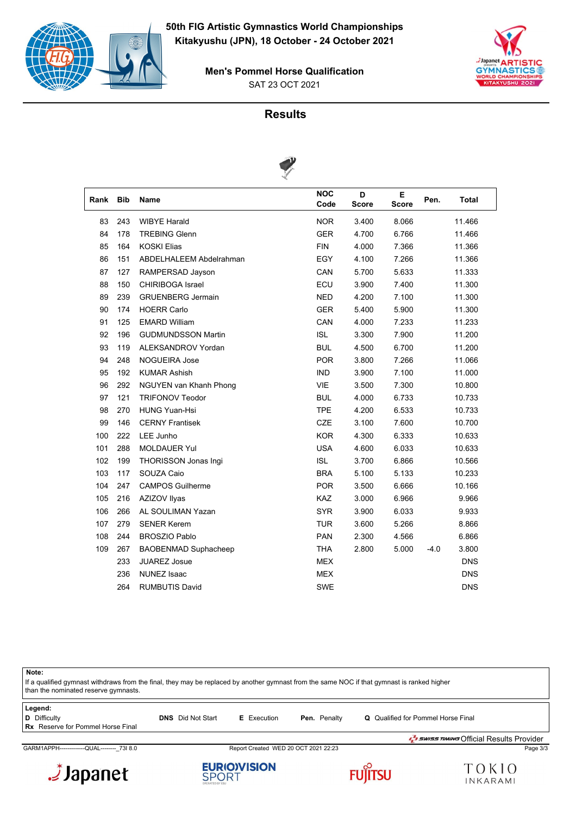

SAT 23 OCT 2021 **Men's Pommel Horse Qualification**





| Rank | <b>Bib</b> | <b>Name</b>                 | <b>NOC</b><br>Code | D<br><b>Score</b> | E<br><b>Score</b> | Pen.   | <b>Total</b> |  |
|------|------------|-----------------------------|--------------------|-------------------|-------------------|--------|--------------|--|
| 83   | 243        | <b>WIBYE Harald</b>         | <b>NOR</b>         | 3.400             | 8.066             |        | 11.466       |  |
| 84   | 178        | <b>TREBING Glenn</b>        | <b>GER</b>         | 4.700             | 6.766             |        | 11.466       |  |
| 85   | 164        | <b>KOSKI Elias</b>          | <b>FIN</b>         | 4.000             | 7.366             |        | 11.366       |  |
| 86   | 151        | ABDELHALEEM Abdelrahman     | EGY                | 4.100             | 7.266             |        | 11.366       |  |
| 87   | 127        | RAMPERSAD Jayson            | CAN                | 5.700             | 5.633             |        | 11.333       |  |
| 88   | 150        | <b>CHIRIBOGA Israel</b>     | ECU                | 3.900             | 7.400             |        | 11.300       |  |
| 89   | 239        | <b>GRUENBERG Jermain</b>    | <b>NED</b>         | 4.200             | 7.100             |        | 11.300       |  |
| 90   | 174        | <b>HOERR Carlo</b>          | <b>GER</b>         | 5.400             | 5.900             |        | 11.300       |  |
| 91   | 125        | <b>EMARD William</b>        | CAN                | 4.000             | 7.233             |        | 11.233       |  |
| 92   | 196        | <b>GUDMUNDSSON Martin</b>   | <b>ISL</b>         | 3.300             | 7.900             |        | 11.200       |  |
| 93   | 119        | ALEKSANDROV Yordan          | <b>BUL</b>         | 4.500             | 6.700             |        | 11.200       |  |
| 94   | 248        | <b>NOGUEIRA Jose</b>        | <b>POR</b>         | 3.800             | 7.266             |        | 11.066       |  |
| 95   | 192        | <b>KUMAR Ashish</b>         | <b>IND</b>         | 3.900             | 7.100             |        | 11.000       |  |
| 96   | 292        | NGUYEN van Khanh Phong      | VIE                | 3.500             | 7.300             |        | 10.800       |  |
| 97   | 121        | <b>TRIFONOV Teodor</b>      | <b>BUL</b>         | 4.000             | 6.733             |        | 10.733       |  |
| 98   | 270        | <b>HUNG Yuan-Hsi</b>        | <b>TPE</b>         | 4.200             | 6.533             |        | 10.733       |  |
| 99   | 146        | <b>CERNY Frantisek</b>      | CZE                | 3.100             | 7.600             |        | 10.700       |  |
| 100  | 222        | LEE Junho                   | <b>KOR</b>         | 4.300             | 6.333             |        | 10.633       |  |
| 101  | 288        | <b>MOLDAUER Yul</b>         | <b>USA</b>         | 4.600             | 6.033             |        | 10.633       |  |
| 102  | 199        | THORISSON Jonas Ingi        | <b>ISL</b>         | 3.700             | 6.866             |        | 10.566       |  |
| 103  | 117        | SOUZA Caio                  | <b>BRA</b>         | 5.100             | 5.133             |        | 10.233       |  |
| 104  | 247        | <b>CAMPOS Guilherme</b>     | <b>POR</b>         | 3.500             | 6.666             |        | 10.166       |  |
| 105  | 216        | AZIZOV Ilyas                | KAZ                | 3.000             | 6.966             |        | 9.966        |  |
| 106  | 266        | AL SOULIMAN Yazan           | <b>SYR</b>         | 3.900             | 6.033             |        | 9.933        |  |
| 107  | 279        | <b>SENER Kerem</b>          | <b>TUR</b>         | 3.600             | 5.266             |        | 8.866        |  |
| 108  | 244        | <b>BROSZIO Pablo</b>        | <b>PAN</b>         | 2.300             | 4.566             |        | 6.866        |  |
| 109  | 267        | <b>BAOBENMAD Suphacheep</b> | <b>THA</b>         | 2.800             | 5.000             | $-4.0$ | 3.800        |  |
|      | 233        | <b>JUAREZ Josue</b>         | <b>MEX</b>         |                   |                   |        | <b>DNS</b>   |  |
|      | 236        | <b>NUNEZ Isaac</b>          | <b>MEX</b>         |                   |                   |        | <b>DNS</b>   |  |
|      | 264        | <b>RUMBUTIS David</b>       | <b>SWE</b>         |                   |                   |        | <b>DNS</b>   |  |
|      |            |                             |                    |                   |                   |        |              |  |

**Note:**

If a qualified gymnast withdraws from the final, they may be replaced by another gymnast from the same NOC if that gymnast is ranked higher than the nominated reserve gymnasts.

| Legend:                                  |                          |                    |                     |                                                 |
|------------------------------------------|--------------------------|--------------------|---------------------|-------------------------------------------------|
| D Difficulty                             | <b>DNS</b> Did Not Start | <b>E</b> Execution | <b>Pen.</b> Penalty | Q Qualified for Pommel Horse Final              |
| <b>Rx</b> Reserve for Pommel Horse Final |                          |                    |                     |                                                 |
|                                          |                          |                    |                     | <b>J</b> swiss TIMING Official Results Provider |

GARM1APPH-------------QUAL--------\_73I 8.0 Report Created WED 20 OCT 2021 22:23 Page 3/3







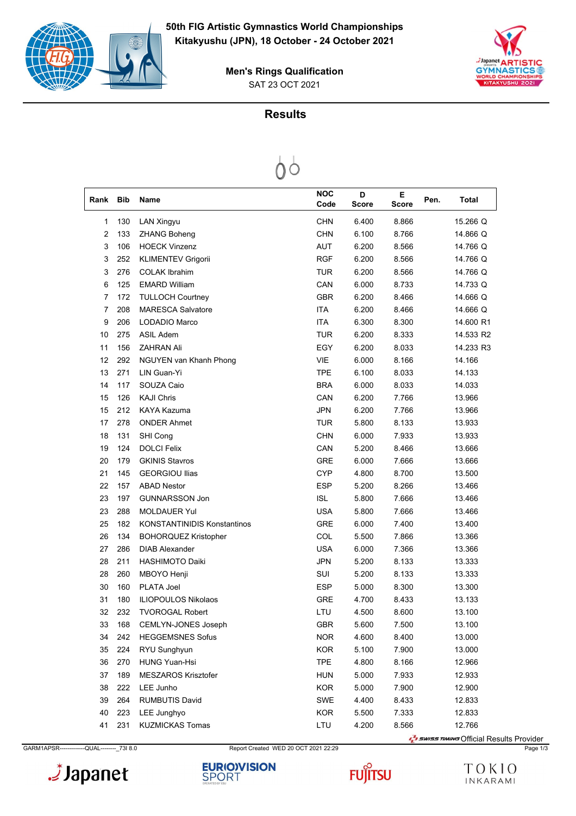



SAT 23 OCT 2021 **Men's Rings Qualification**

# **Results**

| Rank           | <b>Bib</b> | Name                               | <b>NOC</b><br>Code | D<br><b>Score</b> | Е<br>Score | Pen. | Total     |
|----------------|------------|------------------------------------|--------------------|-------------------|------------|------|-----------|
| 1              | 130        | <b>LAN Xingyu</b>                  | <b>CHN</b>         | 6.400             | 8.866      |      | 15.266 Q  |
| $\overline{2}$ | 133        | <b>ZHANG Boheng</b>                | <b>CHN</b>         | 6.100             | 8.766      |      | 14.866 Q  |
| 3              | 106        | <b>HOECK Vinzenz</b>               | <b>AUT</b>         | 6.200             | 8.566      |      | 14.766 Q  |
| 3              | 252        | KLIMENTEV Grigorii                 | <b>RGF</b>         | 6.200             | 8.566      |      | 14.766 Q  |
| 3              | 276        | <b>COLAK Ibrahim</b>               | TUR                | 6.200             | 8.566      |      | 14.766 Q  |
| 6              | 125        | <b>EMARD William</b>               | CAN                | 6.000             | 8.733      |      | 14.733 Q  |
| 7              | 172        | <b>TULLOCH Courtney</b>            | <b>GBR</b>         | 6.200             | 8.466      |      | 14.666 Q  |
| 7              | 208        | <b>MARESCA Salvatore</b>           | <b>ITA</b>         | 6.200             | 8.466      |      | 14.666 Q  |
| 9              | 206        | LODADIO Marco                      | <b>ITA</b>         | 6.300             | 8.300      |      | 14.600 R1 |
| 10             | 275        | ASIL Adem                          | <b>TUR</b>         | 6.200             | 8.333      |      | 14.533 R2 |
| 11             | 156        | <b>ZAHRAN Ali</b>                  | EGY                | 6.200             | 8.033      |      | 14.233 R3 |
| 12             | 292        | NGUYEN van Khanh Phong             | <b>VIE</b>         | 6.000             | 8.166      |      | 14.166    |
| 13             | 271        | LIN Guan-Yi                        | <b>TPE</b>         | 6.100             | 8.033      |      | 14.133    |
| 14             | 117        | SOUZA Caio                         | <b>BRA</b>         | 6.000             | 8.033      |      | 14.033    |
| 15             | 126        | <b>KAJI Chris</b>                  | CAN                | 6.200             | 7.766      |      | 13.966    |
| 15             | 212        | KAYA Kazuma                        | <b>JPN</b>         | 6.200             | 7.766      |      | 13.966    |
| 17             | 278        | <b>ONDER Ahmet</b>                 | <b>TUR</b>         | 5.800             | 8.133      |      | 13.933    |
| 18             | 131        | SHI Cong                           | <b>CHN</b>         | 6.000             | 7.933      |      | 13.933    |
| 19             | 124        | <b>DOLCI Felix</b>                 | CAN                | 5.200             | 8.466      |      | 13.666    |
| 20             | 179        | <b>GKINIS Stavros</b>              | <b>GRE</b>         | 6.000             | 7.666      |      | 13.666    |
| 21             | 145        | <b>GEORGIOU Ilias</b>              | <b>CYP</b>         | 4.800             | 8.700      |      | 13.500    |
| 22             | 157        | <b>ABAD Nestor</b>                 | <b>ESP</b>         | 5.200             | 8.266      |      | 13.466    |
| 23             | 197        | <b>GUNNARSSON Jon</b>              | <b>ISL</b>         | 5.800             | 7.666      |      | 13.466    |
| 23             | 288        | <b>MOLDAUER Yul</b>                | <b>USA</b>         | 5.800             | 7.666      |      | 13.466    |
| 25             | 182        | <b>KONSTANTINIDIS Konstantinos</b> | <b>GRE</b>         | 6.000             | 7.400      |      | 13.400    |
| 26             | 134        | <b>BOHORQUEZ Kristopher</b>        | COL                | 5.500             | 7.866      |      | 13.366    |
| 27             | 286        | <b>DIAB Alexander</b>              | <b>USA</b>         | 6.000             | 7.366      |      | 13.366    |
| 28             | 211        | <b>HASHIMOTO Daiki</b>             | <b>JPN</b>         | 5.200             | 8.133      |      | 13.333    |
| 28             | 260        | MBOYO Henji                        | SUI                | 5.200             | 8.133      |      | 13.333    |
| 30             | 160        | <b>PLATA Joel</b>                  | <b>ESP</b>         | 5.000             | 8.300      |      | 13.300    |
| 31             | 180        | <b>ILIOPOULOS Nikolaos</b>         | <b>GRE</b>         | 4.700             | 8.433      |      | 13.133    |
| 32             | 232        | <b>TVOROGAL Robert</b>             | LTU                | 4.500             | 8.600      |      | 13.100    |
| 33             | 168        | CEMLYN-JONES Joseph                | GBR                | 5.600             | 7.500      |      | 13.100    |
| 34             | 242        | <b>HEGGEMSNES Sofus</b>            | <b>NOR</b>         | 4.600             | 8.400      |      | 13.000    |
| 35             | 224        | RYU Sunghyun                       | <b>KOR</b>         | 5.100             | 7.900      |      | 13.000    |
| 36             | 270        | <b>HUNG Yuan-Hsi</b>               | <b>TPE</b>         | 4.800             | 8.166      |      | 12.966    |
| 37             | 189        | <b>MESZAROS Krisztofer</b>         | <b>HUN</b>         | 5.000             | 7.933      |      | 12.933    |
| 38             | 222        | LEE Junho                          | <b>KOR</b>         | 5.000             | 7.900      |      | 12.900    |
| 39             | 264        | <b>RUMBUTIS David</b>              | SWE                | 4.400             | 8.433      |      | 12.833    |
| 40             | 223        | LEE Junghyo                        | <b>KOR</b>         | 5.500             | 7.333      |      | 12.833    |
| 41             | 231        | <b>KUZMICKAS Tomas</b>             | LTU                | 4.200             | 8.566      |      | 12.766    |



GARM1APSR-------------QUAL--------\_73I 8.0 Report Created WED 20 OCT 2021 22:29 Page 1/3

**FUJITSU** 

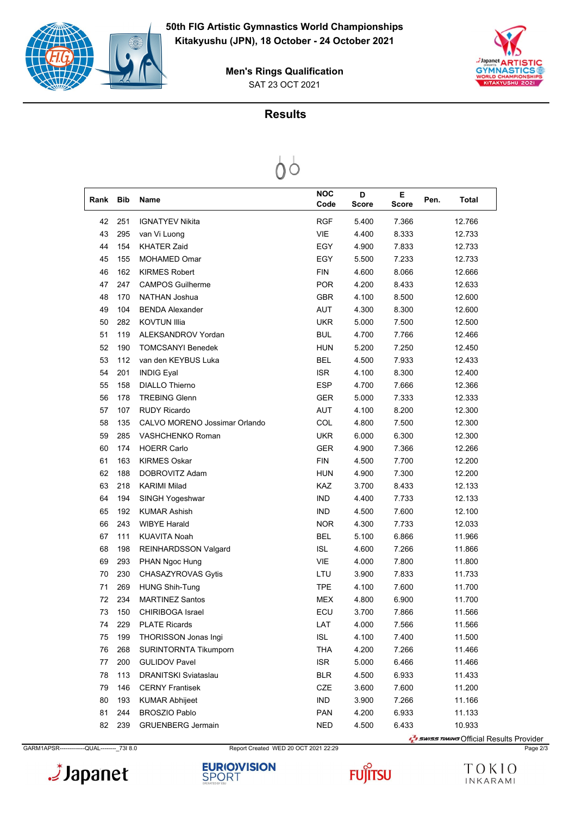



SAT 23 OCT 2021 **Men's Rings Qualification**

# **Results**



| Rank | <b>Bib</b> | Name                          | <b>NOC</b> | D            | Е     | Pen. | <b>Total</b>                                    |
|------|------------|-------------------------------|------------|--------------|-------|------|-------------------------------------------------|
|      |            |                               | Code       | <b>Score</b> | Score |      |                                                 |
| 42   | 251        | <b>IGNATYEV Nikita</b>        | <b>RGF</b> | 5.400        | 7.366 |      | 12.766                                          |
| 43   | 295        | van Vi Luong                  | VIE        | 4.400        | 8.333 |      | 12.733                                          |
| 44   | 154        | <b>KHATER Zaid</b>            | EGY        | 4.900        | 7.833 |      | 12.733                                          |
| 45   | 155        | MOHAMED Omar                  | EGY        | 5.500        | 7.233 |      | 12.733                                          |
| 46   | 162        | <b>KIRMES Robert</b>          | <b>FIN</b> | 4.600        | 8.066 |      | 12.666                                          |
| 47   | 247        | <b>CAMPOS Guilherme</b>       | <b>POR</b> | 4.200        | 8.433 |      | 12.633                                          |
| 48   | 170        | <b>NATHAN Joshua</b>          | <b>GBR</b> | 4.100        | 8.500 |      | 12.600                                          |
| 49   | 104        | <b>BENDA Alexander</b>        | AUT        | 4.300        | 8.300 |      | 12.600                                          |
| 50   | 282        | <b>KOVTUN Illia</b>           | <b>UKR</b> | 5.000        | 7.500 |      | 12.500                                          |
| 51   | 119        | ALEKSANDROV Yordan            | <b>BUL</b> | 4.700        | 7.766 |      | 12.466                                          |
| 52   | 190        | <b>TOMCSANYI Benedek</b>      | <b>HUN</b> | 5.200        | 7.250 |      | 12.450                                          |
| 53   | 112        | van den KEYBUS Luka           | <b>BEL</b> | 4.500        | 7.933 |      | 12.433                                          |
| 54   | 201        | <b>INDIG Eyal</b>             | <b>ISR</b> | 4.100        | 8.300 |      | 12.400                                          |
| 55   | 158        | <b>DIALLO Thierno</b>         | <b>ESP</b> | 4.700        | 7.666 |      | 12.366                                          |
| 56   | 178        | <b>TREBING Glenn</b>          | <b>GER</b> | 5.000        | 7.333 |      | 12.333                                          |
| 57   | 107        | <b>RUDY Ricardo</b>           | AUT        | 4.100        | 8.200 |      | 12.300                                          |
| 58   | 135        | CALVO MORENO Jossimar Orlando | COL        | 4.800        | 7.500 |      | 12.300                                          |
| 59   | 285        | VASHCHENKO Roman              | <b>UKR</b> | 6.000        | 6.300 |      | 12.300                                          |
| 60   | 174        | <b>HOERR Carlo</b>            | <b>GER</b> | 4.900        | 7.366 |      | 12.266                                          |
| 61   | 163        | <b>KIRMES Oskar</b>           | <b>FIN</b> | 4.500        | 7.700 |      | 12.200                                          |
| 62   | 188        | DOBROVITZ Adam                | <b>HUN</b> | 4.900        | 7.300 |      | 12.200                                          |
| 63   | 218        | <b>KARIMI Milad</b>           | <b>KAZ</b> | 3.700        | 8.433 |      | 12.133                                          |
| 64   | 194        | SINGH Yogeshwar               | <b>IND</b> | 4.400        | 7.733 |      | 12.133                                          |
| 65   | 192        | <b>KUMAR Ashish</b>           | <b>IND</b> | 4.500        | 7.600 |      | 12.100                                          |
| 66   | 243        | <b>WIBYE Harald</b>           | <b>NOR</b> | 4.300        | 7.733 |      | 12.033                                          |
| 67   | 111        | KUAVITA Noah                  | <b>BEL</b> | 5.100        | 6.866 |      | 11.966                                          |
| 68   | 198        | <b>REINHARDSSON Valgard</b>   | <b>ISL</b> | 4.600        | 7.266 |      | 11.866                                          |
| 69   | 293        | PHAN Ngoc Hung                | VIE        | 4.000        | 7.800 |      | 11.800                                          |
| 70   | 230        | CHASAZYROVAS Gytis            | LTU        | 3.900        | 7.833 |      | 11.733                                          |
| 71   | 269        | <b>HUNG Shih-Tung</b>         | <b>TPE</b> | 4.100        | 7.600 |      | 11.700                                          |
| 72   | 234        | <b>MARTINEZ Santos</b>        | <b>MEX</b> | 4.800        | 6.900 |      | 11.700                                          |
| 73   |            | 150 CHIRIBOGA Israel          | ECU        | 3.700        | 7.866 |      | 11.566                                          |
| 74   | 229        | <b>PLATE Ricards</b>          | LAT        | 4.000        | 7.566 |      | 11.566                                          |
| 75   | 199        | <b>THORISSON Jonas Ingi</b>   | <b>ISL</b> | 4.100        | 7.400 |      | 11.500                                          |
| 76   | 268        | <b>SURINTORNTA Tikumporn</b>  | <b>THA</b> | 4.200        | 7.266 |      | 11.466                                          |
| 77   | 200        | <b>GULIDOV Pavel</b>          | <b>ISR</b> | 5.000        | 6.466 |      | 11.466                                          |
| 78   | 113        | <b>DRANITSKI Sviataslau</b>   | <b>BLR</b> | 4.500        | 6.933 |      | 11.433                                          |
| 79   | 146        | <b>CERNY Frantisek</b>        | CZE        | 3.600        | 7.600 |      | 11.200                                          |
| 80   | 193        | <b>KUMAR Abhijeet</b>         | <b>IND</b> | 3.900        | 7.266 |      | 11.166                                          |
| 81   | 244        | <b>BROSZIO Pablo</b>          | <b>PAN</b> | 4.200        | 6.933 |      | 11.133                                          |
| 82   | 239        | <b>GRUENBERG Jermain</b>      | <b>NED</b> | 4.500        | 6.433 |      | 10.933                                          |
|      |            |                               |            |              |       |      | <b>T</b> swiss TIMING Official Results Provider |

GARM1APSR-------------QUAL--------\_73I 8.0 Report Created WED 20 OCT 2021 22:29 Page 2/3





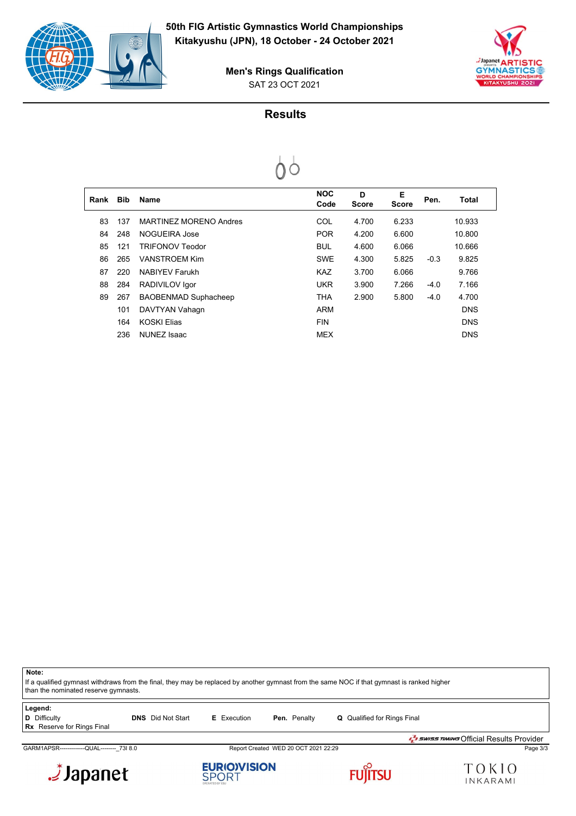



SAT 23 OCT 2021 **Men's Rings Qualification**

# **Results**



| Rank | <b>Bib</b> | <b>Name</b>                 | <b>NOC</b><br>Code | D<br><b>Score</b> | Е<br><b>Score</b> | Pen.   | Total      |  |
|------|------------|-----------------------------|--------------------|-------------------|-------------------|--------|------------|--|
| 83   | 137        | MARTINEZ MORENO Andres      | COL                | 4.700             | 6.233             |        | 10.933     |  |
| 84   | 248        | NOGUEIRA Jose               | <b>POR</b>         | 4.200             | 6.600             |        | 10.800     |  |
| 85   | 121        | TRIFONOV Teodor             | <b>BUL</b>         | 4.600             | 6.066             |        | 10.666     |  |
| 86   | 265        | VANSTROFM Kim               | <b>SWE</b>         | 4.300             | 5.825             | $-0.3$ | 9.825      |  |
| 87   | 220        | <b>NABIYEV Farukh</b>       | <b>KAZ</b>         | 3.700             | 6.066             |        | 9.766      |  |
| 88   | 284        | RADIVILOV Igor              | <b>UKR</b>         | 3.900             | 7.266             | $-4.0$ | 7.166      |  |
| 89   | 267        | <b>BAOBENMAD Suphacheep</b> | <b>THA</b>         | 2.900             | 5.800             | $-4.0$ | 4.700      |  |
|      | 101        | DAVTYAN Vahagn              | ARM                |                   |                   |        | <b>DNS</b> |  |
|      | 164        | <b>KOSKI Flias</b>          | <b>FIN</b>         |                   |                   |        | <b>DNS</b> |  |
|      | 236        | <b>NUNEZ Isaac</b>          | <b>MEX</b>         |                   |                   |        | <b>DNS</b> |  |

**Note:** If a qualified gymnast withdraws from the final, they may be replaced by another gymnast from the same NOC if that gymnast is ranked higher than the nominated reserve gymnasts. **Legend: D** Difficulty **DNS** Did Not Start **E** Execution **Pen.** Penalty **Q** Qualified for Rings Final **Rx** Reserve for Rings Final

GARM1APSR-------------QUAL--------\_73I 8.0 Report Created WED 20 OCT 2021 22:29 Page 3/3

Japanet.

**EURIO)VISION**<br>SPORT







SWISS TIMING Official Results Provider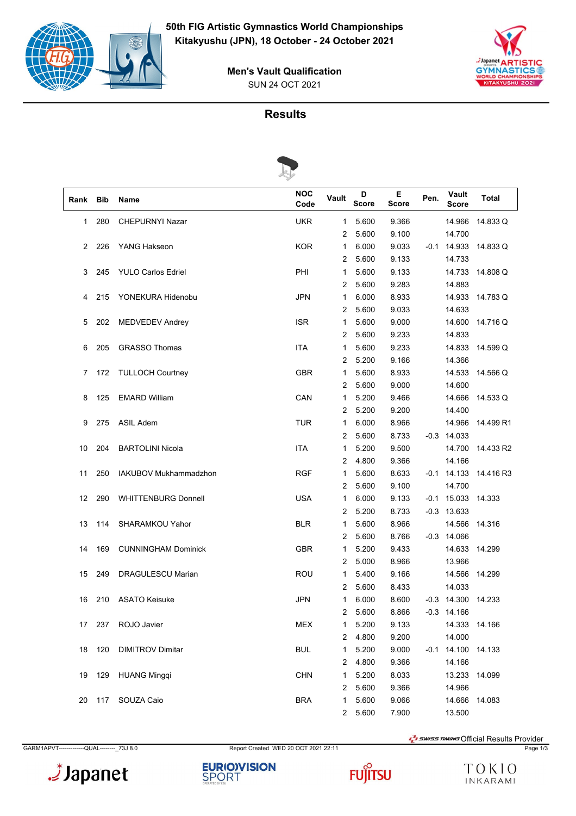

 $\frac{1}{2}$ Japa **GYMN** 

#### SUN 24 OCT 2021 **Men's Vault Qualification**

# **Results**



| Rank | <b>Bib</b> | Name                       | <b>NOC</b><br>Code | Vault          | D<br><b>Score</b> | Е<br>Score | Pen.   | Vault<br><b>Score</b> | Total     |
|------|------------|----------------------------|--------------------|----------------|-------------------|------------|--------|-----------------------|-----------|
| 1    | 280        | <b>CHEPURNYI Nazar</b>     | <b>UKR</b>         | 1              | 5.600             | 9.366      |        | 14.966                | 14.833 Q  |
|      |            |                            |                    | 2              | 5.600             | 9.100      |        | 14.700                |           |
| 2    | 226        | <b>YANG Hakseon</b>        | <b>KOR</b>         | 1              | 6.000             | 9.033      | $-0.1$ | 14.933                | 14.833 Q  |
|      |            |                            |                    | 2              | 5.600             | 9.133      |        | 14.733                |           |
| 3    | 245        | <b>YULO Carlos Edriel</b>  | PHI                | 1              | 5.600             | 9.133      |        | 14.733                | 14.808 Q  |
|      |            |                            |                    | 2              | 5.600             | 9.283      |        | 14.883                |           |
| 4    | 215        | YONEKURA Hidenobu          | <b>JPN</b>         | 1              | 6.000             | 8.933      |        | 14.933                | 14.783 Q  |
|      |            |                            |                    | 2              | 5.600             | 9.033      |        | 14.633                |           |
| 5    | 202        | MEDVEDEV Andrey            | <b>ISR</b>         | 1              | 5.600             | 9.000      |        | 14.600                | 14.716 Q  |
|      |            |                            |                    | 2              | 5.600             | 9.233      |        | 14.833                |           |
| 6    | 205        | <b>GRASSO Thomas</b>       | <b>ITA</b>         | 1              | 5.600             | 9.233      |        | 14.833                | 14.599 Q  |
|      |            |                            |                    | 2              | 5.200             | 9.166      |        | 14.366                |           |
| 7    | 172        | <b>TULLOCH Courtney</b>    | <b>GBR</b>         | 1              | 5.600             | 8.933      |        | 14.533                | 14.566 Q  |
|      |            |                            |                    | 2              | 5.600             | 9.000      |        | 14.600                |           |
| 8    | 125        | <b>EMARD William</b>       | CAN                | 1              | 5.200             | 9.466      |        | 14.666                | 14.533 Q  |
|      |            |                            |                    | 2              | 5.200             | 9.200      |        | 14.400                |           |
| 9    | 275        | <b>ASIL Adem</b>           | <b>TUR</b>         | 1              | 6.000             | 8.966      |        | 14.966                | 14.499 R1 |
|      |            |                            |                    | 2              | 5.600             | 8.733      |        | $-0.3$ 14.033         |           |
| 10   | 204        | <b>BARTOLINI Nicola</b>    | ITA                | 1              | 5.200             | 9.500      |        | 14.700                | 14.433 R2 |
|      |            |                            |                    | 2              | 4.800             | 9.366      |        | 14.166                |           |
| 11   | 250        | IAKUBOV Mukhammadzhon      | <b>RGF</b>         | 1              | 5.600             | 8.633      | $-0.1$ | 14.133                | 14.416 R3 |
|      |            |                            |                    | 2              | 5.600             | 9.100      |        | 14.700                |           |
| 12   | 290        | <b>WHITTENBURG Donnell</b> | <b>USA</b>         | 1              | 6.000             | 9.133      | -0.1   | 15.033                | 14.333    |
|      |            |                            |                    | 2              | 5.200             | 8.733      |        | $-0.3$ 13.633         |           |
| 13   | 114        | SHARAMKOU Yahor            | <b>BLR</b>         | 1              | 5.600             | 8.966      |        | 14.566                | 14.316    |
|      |            |                            |                    | 2              | 5.600             | 8.766      |        | $-0.3$ 14.066         |           |
| 14   | 169        | <b>CUNNINGHAM Dominick</b> | <b>GBR</b>         | 1              | 5.200             | 9.433      |        | 14.633                | 14.299    |
|      |            |                            |                    | 2              | 5.000             | 8.966      |        | 13.966                |           |
| 15   | 249        | DRAGULESCU Marian          | <b>ROU</b>         | 1              | 5.400             | 9.166      |        | 14.566                | 14.299    |
|      |            |                            |                    | 2              | 5.600             | 8.433      |        | 14.033                |           |
| 16   | 210        | <b>ASATO Keisuke</b>       | <b>JPN</b>         | 1              | 6.000             | 8.600      |        | $-0.3$ 14.300         | 14.233    |
|      |            |                            |                    | 2              | 5.600             | 8.866      |        | $-0.3$ 14.166         |           |
| 17   | 237        | ROJO Javier                | <b>MEX</b>         | 1              | 5.200             | 9.133      |        | 14.333                | 14.166    |
|      |            |                            |                    | 2              | 4.800             | 9.200      |        | 14.000                |           |
| 18   | 120        | <b>DIMITROV Dimitar</b>    | <b>BUL</b>         | 1              | 5.200             | 9.000      | -0.1   | 14.100                | 14.133    |
|      |            |                            |                    | 2              | 4.800             | 9.366      |        | 14.166                |           |
| 19   | 129        | <b>HUANG Mingqi</b>        | <b>CHN</b>         | 1              | 5.200             | 8.033      |        | 13.233                | 14.099    |
|      |            |                            |                    | 2              | 5.600             | 9.366      |        | 14.966                |           |
| 20   | 117        | SOUZA Caio                 | <b>BRA</b>         | 1              | 5.600             | 9.066      |        | 14.666                | 14.083    |
|      |            |                            |                    | $\overline{2}$ | 5.600             | 7.900      |        | 13.500                |           |

GARM1APVT-------------QUAL--------\_73J 8.0 Report Created WED 20 OCT 2021 22:11 Page 1/3

Japanet.





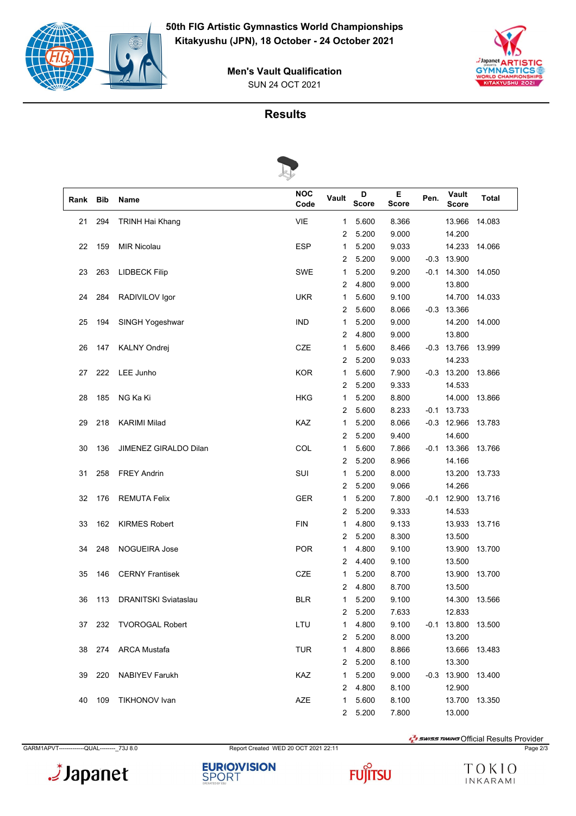

.*i* Japar **GYMN** 

#### SUN 24 OCT 2021 **Men's Vault Qualification**

# **Results**



| Rank | <b>Bib</b> | Name                        | <b>NOC</b><br>Code | Vault          | D<br><b>Score</b> | Е<br><b>Score</b> | Pen.   | Vault<br><b>Score</b> | <b>Total</b> |
|------|------------|-----------------------------|--------------------|----------------|-------------------|-------------------|--------|-----------------------|--------------|
| 21   | 294        | <b>TRINH Hai Khang</b>      | <b>VIE</b>         | 1              | 5.600             | 8.366             |        | 13.966                | 14.083       |
|      |            |                             |                    | $\overline{2}$ | 5.200             | 9.000             |        | 14.200                |              |
| 22   | 159        | <b>MIR Nicolau</b>          | <b>ESP</b>         | $\mathbf{1}$   | 5.200             | 9.033             |        | 14.233                | 14.066       |
|      |            |                             |                    | 2              | 5.200             | 9.000             | $-0.3$ | 13.900                |              |
| 23   | 263        | <b>LIDBECK Filip</b>        | <b>SWE</b>         | 1              | 5.200             | 9.200             | -0.1   | 14.300                | 14.050       |
|      |            |                             |                    | 2              | 4.800             | 9.000             |        | 13.800                |              |
| 24   | 284        | RADIVILOV Igor              | <b>UKR</b>         | $\mathbf{1}$   | 5.600             | 9.100             |        | 14.700                | 14.033       |
|      |            |                             |                    | 2              | 5.600             | 8.066             |        | $-0.3$ 13.366         |              |
| 25   | 194        | SINGH Yogeshwar             | <b>IND</b>         | 1              | 5.200             | 9.000             |        | 14.200                | 14.000       |
|      |            |                             |                    | 2              | 4.800             | 9.000             |        | 13.800                |              |
| 26   | 147        | <b>KALNY Ondrej</b>         | CZE                | 1              | 5.600             | 8.466             | -0.3   | 13.766                | 13.999       |
|      |            |                             |                    | 2              | 5.200             | 9.033             |        | 14.233                |              |
| 27   | 222        | LEE Junho                   | <b>KOR</b>         | 1              | 5.600             | 7.900             |        | $-0.3$ 13.200         | 13.866       |
|      |            |                             |                    | 2              | 5.200             | 9.333             |        | 14.533                |              |
| 28   | 185        | NG Ka Ki                    | <b>HKG</b>         | $\mathbf{1}$   | 5.200             | 8.800             |        | 14.000                | 13.866       |
|      |            |                             |                    | 2              | 5.600             | 8.233             | $-0.1$ | 13.733                |              |
| 29   | 218        | <b>KARIMI Milad</b>         | KAZ                | 1              | 5.200             | 8.066             | $-0.3$ | 12.966                | 13.783       |
|      |            |                             |                    | 2              | 5.200             | 9.400             |        | 14.600                |              |
| 30   | 136        | JIMENEZ GIRALDO Dilan       | COL                | 1              | 5.600             | 7.866             | -0.1   | 13.366                | 13.766       |
|      |            |                             |                    | 2              | 5.200             | 8.966             |        | 14.166                |              |
| 31   | 258        | <b>FREY Andrin</b>          | SUI                | 1              | 5.200             | 8.000             |        | 13.200                | 13.733       |
|      |            |                             |                    | 2              | 5.200             | 9.066             |        | 14.266                |              |
| 32   | 176        | <b>REMUTA Felix</b>         | <b>GER</b>         | 1              | 5.200             | 7.800             | -0.1   | 12.900                | 13.716       |
|      |            |                             |                    | 2              | 5.200             | 9.333             |        | 14.533                |              |
| 33   | 162        | <b>KIRMES Robert</b>        | <b>FIN</b>         | 1              | 4.800             | 9.133             |        | 13.933                | 13.716       |
|      |            |                             |                    | 2              | 5.200             | 8.300             |        | 13.500                |              |
| 34   | 248        | NOGUEIRA Jose               | <b>POR</b>         | $\mathbf{1}$   | 4.800             | 9.100             |        | 13.900                | 13.700       |
|      |            |                             |                    | 2              | 4.400             | 9.100             |        | 13.500                |              |
| 35   | 146        | <b>CERNY Frantisek</b>      | <b>CZE</b>         | 1              | 5.200             | 8.700             |        | 13.900                | 13.700       |
|      |            |                             |                    | 2              | 4.800             | 8.700             |        | 13.500                |              |
| 36   | 113        | <b>DRANITSKI Sviataslau</b> | <b>BLR</b>         | 1              | 5.200             | 9.100             |        | 14.300                | 13.566       |
|      |            |                             |                    | 2              | 5.200             | 7.633             |        | 12.833                |              |
| 37   | 232        | <b>TVOROGAL Robert</b>      | LTU                | 1              | 4.800             | 9.100             |        | -0.1 13.800 13.500    |              |
|      |            |                             |                    | 2              | 5.200             | 8.000             |        | 13.200                |              |
| 38   | 274        | <b>ARCA Mustafa</b>         | <b>TUR</b>         | 1              | 4.800             | 8.866             |        | 13.666                | 13.483       |
|      |            |                             |                    | 2              | 5.200             | 8.100             |        | 13.300                |              |
| 39   | 220        | <b>NABIYEV Farukh</b>       | KAZ                | 1              | 5.200             | 9.000             |        | $-0.3$ 13.900         | 13.400       |
|      |            |                             |                    | 2              | 4.800             | 8.100             |        | 12.900                |              |
| 40   | 109        | <b>TIKHONOV Ivan</b>        | AZE                | 1              | 5.600             | 8.100             |        | 13.700                | 13.350       |
|      |            |                             |                    | $\overline{2}$ | 5.200             | 7.800             |        | 13.000                |              |

GARM1APVT-------------QUAL--------\_73J 8.0 Report Created WED 20 OCT 2021 22:11 Page 2/3

 $\frac{1}{2}$ swiss *TIMING* Official Results Provider







TOKIO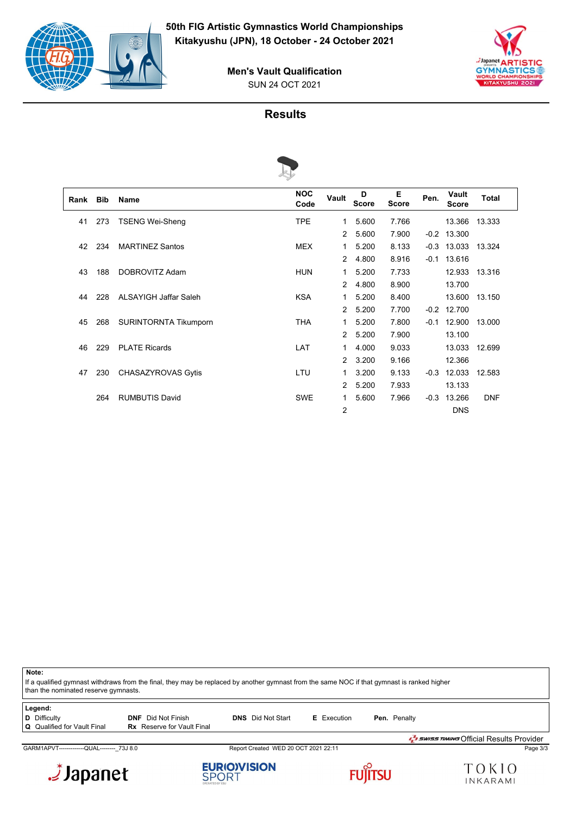



SUN 24 OCT 2021 **Men's Vault Qualification**

#### **Results**



| Rank | <b>Bib</b> | Name                         | <b>NOC</b><br>Code | Vault          | D<br><b>Score</b> | Е<br><b>Score</b> | Pen.   | Vault<br><b>Score</b> | <b>Total</b> |
|------|------------|------------------------------|--------------------|----------------|-------------------|-------------------|--------|-----------------------|--------------|
| 41   | 273        | <b>TSENG Wei-Sheng</b>       | <b>TPE</b>         | 1              | 5.600             | 7.766             |        | 13.366                | 13.333       |
|      |            |                              |                    | 2              | 5.600             | 7.900             | $-0.2$ | 13.300                |              |
| 42   | 234        | <b>MARTINEZ Santos</b>       | <b>MEX</b>         | 1              | 5.200             | 8.133             | $-0.3$ | 13.033                | 13.324       |
|      |            |                              |                    | 2              | 4.800             | 8.916             | $-0.1$ | 13.616                |              |
| 43   | 188        | DOBROVITZ Adam               | <b>HUN</b>         | 1.             | 5.200             | 7.733             |        | 12.933                | 13.316       |
|      |            |                              |                    | 2              | 4.800             | 8.900             |        | 13.700                |              |
| 44   | 228        | <b>ALSAYIGH Jaffar Saleh</b> | <b>KSA</b>         | 1              | 5.200             | 8.400             |        | 13.600                | 13.150       |
|      |            |                              |                    | 2              | 5.200             | 7.700             | $-0.2$ | 12.700                |              |
| 45   | 268        | <b>SURINTORNTA Tikumporn</b> | <b>THA</b>         | 1              | 5.200             | 7.800             | $-0.1$ | 12.900                | 13.000       |
|      |            |                              |                    | 2              | 5.200             | 7.900             |        | 13.100                |              |
| 46   | 229        | <b>PLATE Ricards</b>         | LAT                | 1              | 4.000             | 9.033             |        | 13.033                | 12.699       |
|      |            |                              |                    | $\mathcal{P}$  | 3.200             | 9.166             |        | 12.366                |              |
| 47   | 230        | CHASAZYROVAS Gytis           | LTU                | 1              | 3.200             | 9.133             | $-0.3$ | 12.033                | 12.583       |
|      |            |                              |                    | $\overline{2}$ | 5.200             | 7.933             |        | 13.133                |              |
|      | 264        | <b>RUMBUTIS David</b>        | <b>SWE</b>         | 1              | 5.600             | 7.966             | $-0.3$ | 13.266                | <b>DNF</b>   |
|      |            |                              |                    | 2              |                   |                   |        | <b>DNS</b>            |              |

**Note:**

If a qualified gymnast withdraws from the final, they may be replaced by another gymnast from the same NOC if that gymnast is ranked higher than the nominated reserve gymnasts.

**Legend:**

**D** Difficulty **DIF** Did Not Finish **DNS** Did Not Start **E** Execution **Pen.** Penalty **Q** Qualified for Vault Final **Rx** Reserve for Vault Final **Rx** Reserve for Vault Final

GARM1APVT-------------QUAL----------\_73J 8.0 Report Created WED 20 OCT 2021 22:11 Page 3/3 Page 3/3









SWISS TIMING Official Results Provider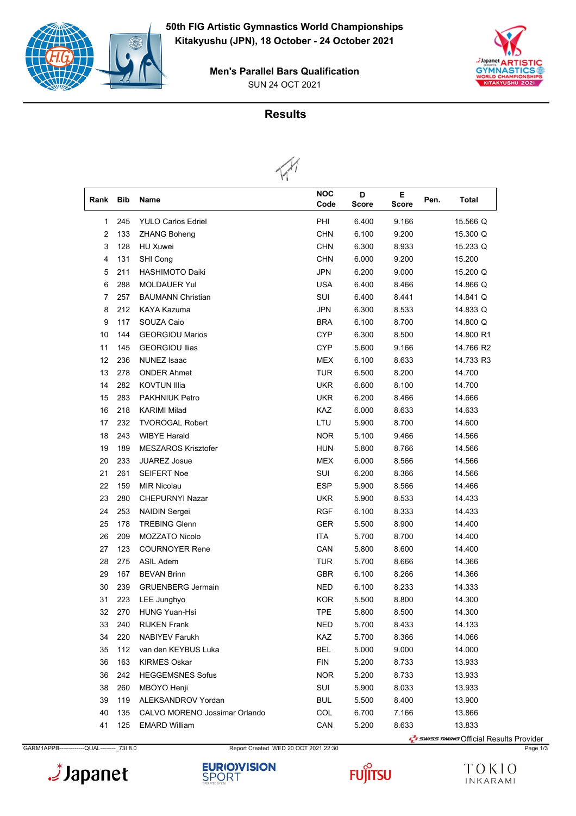







| Rank | <b>Bib</b>                                         | Name                          | <b>NOC</b><br>Code | D<br><b>Score</b> | Е.<br><b>Score</b> | Pen. | Total     |
|------|----------------------------------------------------|-------------------------------|--------------------|-------------------|--------------------|------|-----------|
| 1    | 245                                                | <b>YULO Carlos Edriel</b>     | PHI                | 6.400             | 9.166              |      | 15.566 Q  |
| 2    | 133                                                |                               | <b>CHN</b>         | 6.100             | 9.200              |      | 15.300 Q  |
|      | <b>ZHANG Boheng</b><br>128<br>3<br><b>HU Xuwei</b> |                               | <b>CHN</b>         | 6.300             | 8.933              |      | 15.233 Q  |
| 4    | 131                                                | SHI Cong                      | <b>CHN</b>         | 6.000             | 9.200              |      | 15.200    |
| 5    | 211                                                | <b>HASHIMOTO Daiki</b>        | <b>JPN</b>         | 6.200             | 9.000              |      | 15.200 Q  |
| 6    | 288                                                | <b>MOLDAUER Yul</b>           | <b>USA</b>         | 6.400             | 8.466              |      | 14.866 Q  |
| 7    | 257                                                | <b>BAUMANN Christian</b>      | SUI                | 6.400             | 8.441              |      | 14.841 Q  |
| 8    | 212                                                | KAYA Kazuma                   | <b>JPN</b>         | 6.300             | 8.533              |      | 14.833 Q  |
|      | 117                                                |                               | <b>BRA</b>         |                   |                    |      |           |
| 9    |                                                    | SOUZA Caio                    |                    | 6.100             | 8.700              |      | 14.800 Q  |
| 10   | 144                                                | <b>GEORGIOU Marios</b>        | <b>CYP</b>         | 6.300             | 8.500              |      | 14.800 R1 |
| 11   | 145                                                | <b>GEORGIOU Ilias</b>         | <b>CYP</b>         | 5.600             | 9.166              |      | 14.766 R2 |
| 12   | 236                                                | NUNEZ Isaac                   | MEX                | 6.100             | 8.633              |      | 14.733 R3 |
| 13   | 278                                                | <b>ONDER Ahmet</b>            | <b>TUR</b>         | 6.500             | 8.200              |      | 14.700    |
| 14   | 282                                                | <b>KOVTUN Illia</b>           | <b>UKR</b>         | 6.600             | 8.100              |      | 14.700    |
| 15   | 283                                                | <b>PAKHNIUK Petro</b>         | <b>UKR</b>         | 6.200             | 8.466              |      | 14.666    |
| 16   | 218                                                | <b>KARIMI Milad</b>           | <b>KAZ</b>         | 6.000             | 8.633              |      | 14.633    |
| 17   | 232                                                | <b>TVOROGAL Robert</b>        | LTU                | 5.900             | 8.700              |      | 14.600    |
| 18   | 243                                                | <b>WIBYE Harald</b>           | <b>NOR</b>         | 5.100             | 9.466              |      | 14.566    |
| 19   | 189                                                | <b>MESZAROS Krisztofer</b>    | <b>HUN</b>         | 5.800             | 8.766              |      | 14.566    |
| 20   | 233                                                | <b>JUAREZ Josue</b>           | <b>MEX</b>         | 6.000             | 8.566              |      | 14.566    |
| 21   | 261                                                | <b>SEIFERT Noe</b>            | SUI                | 6.200             | 8.366              |      | 14.566    |
| 22   | 159                                                | <b>MIR Nicolau</b>            | <b>ESP</b>         | 5.900             | 8.566              |      | 14.466    |
| 23   | 280                                                | <b>CHEPURNYI Nazar</b>        | <b>UKR</b>         | 5.900             | 8.533              |      | 14.433    |
| 24   | 253                                                | <b>NAIDIN Sergei</b>          | RGF                | 6.100             | 8.333              |      | 14.433    |
| 25   | 178                                                | <b>TREBING Glenn</b>          | <b>GER</b>         | 5.500             | 8.900              |      | 14.400    |
| 26   | 209                                                | <b>MOZZATO Nicolo</b>         | <b>ITA</b>         | 5.700             | 8.700              |      | 14.400    |
| 27   | 123                                                | <b>COURNOYER Rene</b>         | CAN                | 5.800             | 8.600              |      | 14.400    |
| 28   | 275                                                | <b>ASIL Adem</b>              | <b>TUR</b>         | 5.700             | 8.666              |      | 14.366    |
| 29   | 167                                                | <b>BEVAN Brinn</b>            | <b>GBR</b>         | 6.100             | 8.266              |      | 14.366    |
| 30   | 239                                                | <b>GRUENBERG Jermain</b>      | <b>NED</b>         | 6.100             | 8.233              |      | 14.333    |
| 31   | 223                                                | LEE Junghyo                   | <b>KOR</b>         | 5.500             | 8.800              |      | 14.300    |
| 32   | 270                                                | <b>HUNG Yuan-Hsi</b>          | <b>TPE</b>         | 5.800             | 8.500              |      | 14.300    |
| 33   | 240                                                | <b>RIJKEN Frank</b>           | <b>NED</b>         | 5.700             | 8.433              |      | 14.133    |
| 34   | 220                                                | <b>NABIYEV Farukh</b>         | KAZ                | 5.700             | 8.366              |      | 14.066    |
| 35   | 112                                                | van den KEYBUS Luka           | <b>BEL</b>         | 5.000             | 9.000              |      | 14.000    |
| 36   | 163                                                | <b>KIRMES Oskar</b>           | <b>FIN</b>         | 5.200             | 8.733              |      | 13.933    |
| 36   | 242                                                | <b>HEGGEMSNES Sofus</b>       | <b>NOR</b>         | 5.200             | 8.733              |      | 13.933    |
| 38   | 260                                                | MBOYO Henji                   | SUI                | 5.900             | 8.033              |      | 13.933    |
| 39   | 119                                                | ALEKSANDROV Yordan            | <b>BUL</b>         | 5.500             | 8.400              |      | 13.900    |
| 40   | 135                                                | CALVO MORENO Jossimar Orlando | COL                | 6.700             | 7.166              |      | 13.866    |
| 41   | 125                                                | <b>EMARD William</b>          | CAN                | 5.200             | 8.633              |      | 13.833    |

GARM1APPB-------------QUAL--------\_73I 8.0 Report Created WED 20 OCT 2021 22:30 Page 1/3





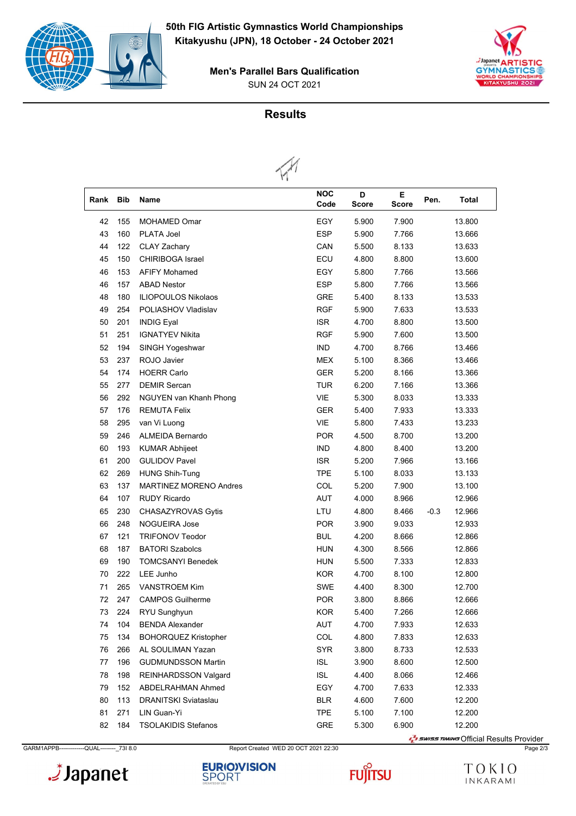







| Rank | <b>Bib</b> | <b>Name</b>                   | <b>NOC</b><br>Code | D<br><b>Score</b> | E.<br><b>Score</b> | Pen.   | <b>Total</b> |
|------|------------|-------------------------------|--------------------|-------------------|--------------------|--------|--------------|
| 42   | 155        | <b>MOHAMED Omar</b>           | EGY                | 5.900             | 7.900              |        | 13.800       |
| 43   | 160        | PLATA Joel                    | <b>ESP</b>         | 5.900             | 7.766              |        | 13.666       |
| 44   | 122        | <b>CLAY Zachary</b>           | CAN                | 5.500             | 8.133              |        | 13.633       |
| 45   | 150        | <b>CHIRIBOGA Israel</b>       | ECU                | 4.800             | 8.800              |        | 13.600       |
| 46   | 153        | <b>AFIFY Mohamed</b>          | EGY                | 5.800             | 7.766              |        | 13.566       |
| 46   | 157        | <b>ABAD Nestor</b>            | <b>ESP</b>         | 5.800             | 7.766              |        | 13.566       |
| 48   | 180        | <b>ILIOPOULOS Nikolaos</b>    | GRE                | 5.400             | 8.133              |        | 13.533       |
| 49   | 254        | POLIASHOV Vladislav           | <b>RGF</b>         | 5.900             | 7.633              |        | 13.533       |
| 50   | 201        | <b>INDIG Eyal</b>             | <b>ISR</b>         | 4.700             | 8.800              |        | 13.500       |
| 51   | 251        | <b>IGNATYEV Nikita</b>        | <b>RGF</b>         | 5.900             | 7.600              |        | 13.500       |
| 52   | 194        | SINGH Yogeshwar               | <b>IND</b>         | 4.700             | 8.766              |        | 13.466       |
| 53   | 237        | ROJO Javier                   | <b>MEX</b>         | 5.100             | 8.366              |        | 13.466       |
| 54   | 174        | <b>HOERR Carlo</b>            | <b>GER</b>         | 5.200             | 8.166              |        | 13.366       |
| 55   | 277        | <b>DEMIR Sercan</b>           | <b>TUR</b>         | 6.200             | 7.166              |        | 13.366       |
| 56   | 292        | NGUYEN van Khanh Phong        | <b>VIE</b>         | 5.300             | 8.033              |        | 13.333       |
| 57   | 176        | <b>REMUTA Felix</b>           | <b>GER</b>         | 5.400             | 7.933              |        | 13.333       |
| 58   | 295        | van Vi Luong                  | <b>VIE</b>         | 5.800             | 7.433              |        | 13.233       |
| 59   | 246        | <b>ALMEIDA Bernardo</b>       | <b>POR</b>         | 4.500             | 8.700              |        | 13.200       |
| 60   | 193        | <b>KUMAR Abhijeet</b>         | <b>IND</b>         | 4.800             | 8.400              |        | 13.200       |
| 61   | 200        | <b>GULIDOV Pavel</b>          | <b>ISR</b>         | 5.200             | 7.966              |        | 13.166       |
| 62   | 269        | <b>HUNG Shih-Tung</b>         | <b>TPE</b>         | 5.100             | 8.033              |        | 13.133       |
| 63   | 137        | <b>MARTINEZ MORENO Andres</b> | COL                | 5.200             | 7.900              |        | 13.100       |
| 64   | 107        | <b>RUDY Ricardo</b>           | AUT                | 4.000             | 8.966              |        | 12.966       |
| 65   | 230        | CHASAZYROVAS Gytis            | LTU                | 4.800             | 8.466              | $-0.3$ | 12.966       |
| 66   | 248        | <b>NOGUEIRA Jose</b>          | <b>POR</b>         | 3.900             | 9.033              |        | 12.933       |
| 67   | 121        | <b>TRIFONOV Teodor</b>        | <b>BUL</b>         | 4.200             | 8.666              |        | 12.866       |
| 68   | 187        | <b>BATORI Szabolcs</b>        | <b>HUN</b>         | 4.300             | 8.566              |        | 12.866       |
| 69   | 190        | <b>TOMCSANYI Benedek</b>      | HUN                | 5.500             | 7.333              |        | 12.833       |
| 70   | 222        | LEE Junho                     | <b>KOR</b>         | 4.700             | 8.100              |        | 12.800       |
| 71   | 265        | <b>VANSTROEM Kim</b>          | <b>SWE</b>         | 4.400             | 8.300              |        | 12.700       |
| 72   | 247        | <b>CAMPOS Guilherme</b>       | POR                | 3.800             | 8.866              |        | 12.666       |
| 73   | 224        | RYU Sunghyun                  | KOR                | 5.400             | 7.266              |        | 12.666       |
| 74   | 104        | <b>BENDA Alexander</b>        | <b>AUT</b>         | 4.700             | 7.933              |        | 12.633       |
| 75   | 134        | <b>BOHORQUEZ Kristopher</b>   | COL                | 4.800             | 7.833              |        | 12.633       |
| 76   | 266        | AL SOULIMAN Yazan             | <b>SYR</b>         | 3.800             | 8.733              |        | 12.533       |
| 77   | 196        | <b>GUDMUNDSSON Martin</b>     | ISL                | 3.900             | 8.600              |        | 12.500       |
| 78   | 198        | <b>REINHARDSSON Valgard</b>   | ISL                | 4.400             | 8.066              |        | 12.466       |
| 79   | 152        | ABDELRAHMAN Ahmed             | EGY                | 4.700             | 7.633              |        | 12.333       |
| 80   | 113        | DRANITSKI Sviataslau          | <b>BLR</b>         | 4.600             | 7.600              |        | 12.200       |
| 81   | 271        | LIN Guan-Yi                   | <b>TPE</b>         | 5.100             | 7.100              |        | 12.200       |
| 82   | 184        | TSOLAKIDIS Stefanos           | GRE                | 5.300             | 6.900              |        | 12.200       |

GARM1APPB-------------QUAL--------\_73I 8.0 Report Created WED 20 OCT 2021 22:30 Page 2/3





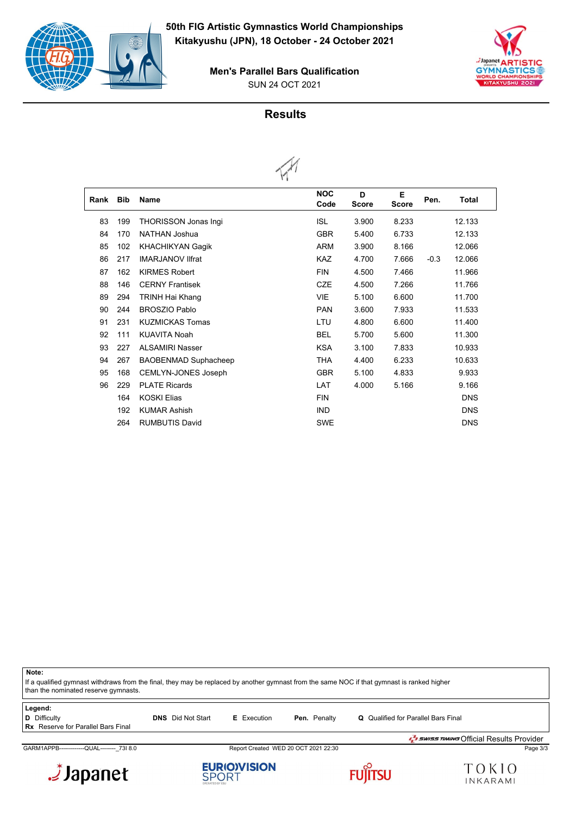







| Rank | <b>Bib</b> | <b>Name</b>                 | <b>NOC</b><br>Code | D<br><b>Score</b> | Е<br><b>Score</b> | Pen.   | <b>Total</b> |  |
|------|------------|-----------------------------|--------------------|-------------------|-------------------|--------|--------------|--|
| 83   | 199        | <b>THORISSON Jonas Ingi</b> | <b>ISL</b>         | 3.900             | 8.233             |        | 12.133       |  |
| 84   | 170        | NATHAN Joshua               | <b>GBR</b>         | 5.400             | 6.733             |        | 12.133       |  |
| 85   | 102        | <b>KHACHIKYAN Gagik</b>     | <b>ARM</b>         | 3.900             | 8.166             |        | 12.066       |  |
| 86   | 217        | <b>IMARJANOV IIfrat</b>     | <b>KAZ</b>         | 4.700             | 7.666             | $-0.3$ | 12.066       |  |
| 87   | 162        | <b>KIRMES Robert</b>        | <b>FIN</b>         | 4.500             | 7.466             |        | 11.966       |  |
| 88   | 146        | <b>CERNY Frantisek</b>      | <b>CZE</b>         | 4.500             | 7.266             |        | 11.766       |  |
| 89   | 294        | TRINH Hai Khang             | <b>VIE</b>         | 5.100             | 6.600             |        | 11.700       |  |
| 90   | 244        | <b>BROSZIO Pablo</b>        | <b>PAN</b>         | 3.600             | 7.933             |        | 11.533       |  |
| 91   | 231        | <b>KUZMICKAS Tomas</b>      | LTU                | 4.800             | 6.600             |        | 11.400       |  |
| 92   | 111        | <b>KUAVITA Noah</b>         | <b>BEL</b>         | 5.700             | 5.600             |        | 11.300       |  |
| 93   | 227        | <b>ALSAMIRI Nasser</b>      | <b>KSA</b>         | 3.100             | 7.833             |        | 10.933       |  |
| 94   | 267        | <b>BAOBENMAD Suphacheep</b> | <b>THA</b>         | 4.400             | 6.233             |        | 10.633       |  |
| 95   | 168        | <b>CEMLYN-JONES Joseph</b>  | <b>GBR</b>         | 5.100             | 4.833             |        | 9.933        |  |
| 96   | 229        | <b>PLATE Ricards</b>        | LAT                | 4.000             | 5.166             |        | 9.166        |  |
|      | 164        | <b>KOSKI Elias</b>          | <b>FIN</b>         |                   |                   |        | <b>DNS</b>   |  |
|      | 192        | <b>KUMAR Ashish</b>         | <b>IND</b>         |                   |                   |        | <b>DNS</b>   |  |
|      | 264        | <b>RUMBUTIS David</b>       | <b>SWE</b>         |                   |                   |        | <b>DNS</b>   |  |

**Note:** If a qualified gymnast withdraws from the final, they may be replaced by another gymnast from the same NOC if that gymnast is ranked higher than the nominated reserve gymnasts.

| Legend:                                   |                          |                    |                     |                                                 |
|-------------------------------------------|--------------------------|--------------------|---------------------|-------------------------------------------------|
| D Difficulty                              | <b>DNS</b> Did Not Start | <b>E</b> Execution | <b>Pen.</b> Penalty | <b>Q</b> Qualified for Parallel Bars Final      |
| <b>Rx</b> Reserve for Parallel Bars Final |                          |                    |                     |                                                 |
|                                           |                          |                    |                     | <b>J</b> swiss TIMING Official Results Provider |

GARM1APPB-------------QUAL--------\_73I 8.0 Report Created WED 20 OCT 2021 22:30 Page 3/3







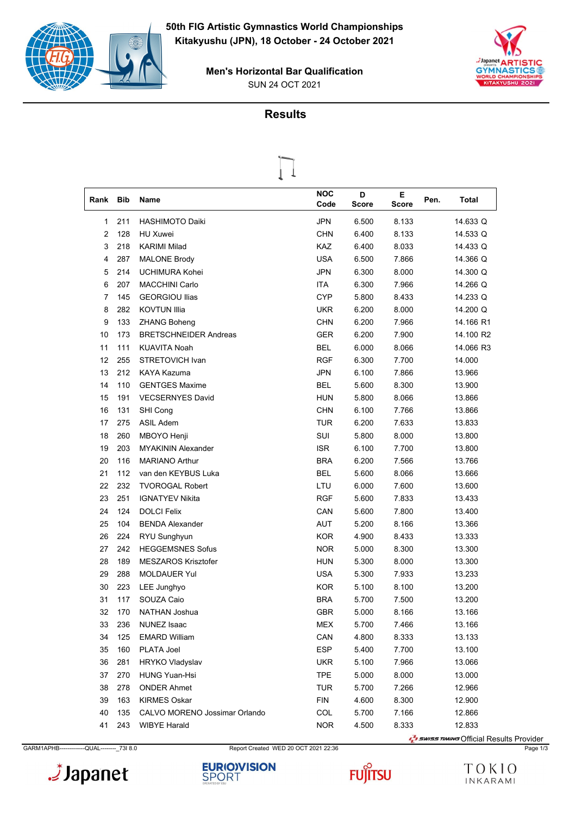





| Rank | <b>Bib</b> | Name                         | <b>NOC</b><br>Code | D<br>Score | Е<br><b>Score</b> | Pen. | Total     |
|------|------------|------------------------------|--------------------|------------|-------------------|------|-----------|
| 1    | 211        | <b>HASHIMOTO Daiki</b>       | <b>JPN</b>         | 6.500      | 8.133             |      | 14.633 Q  |
| 2    | 128        | HU Xuwei                     | <b>CHN</b>         | 6.400      | 8.133             |      | 14.533 Q  |
| 3    | 218        | <b>KARIMI Milad</b>          | KAZ                | 6.400      | 8.033             |      | 14.433 Q  |
| 4    | 287        | <b>MALONE Brody</b>          | <b>USA</b>         | 6.500      | 7.866             |      | 14.366 Q  |
| 5    | 214        | UCHIMURA Kohei               | <b>JPN</b>         | 6.300      | 8.000             |      | 14.300 Q  |
| 6    | 207        | <b>MACCHINI Carlo</b>        | <b>ITA</b>         | 6.300      | 7.966             |      | 14.266 Q  |
| 7    | 145        | <b>GEORGIOU Ilias</b>        | <b>CYP</b>         | 5.800      | 8.433             |      | 14.233 Q  |
| 8    | 282        | <b>KOVTUN Illia</b>          | <b>UKR</b>         | 6.200      | 8.000             |      | 14.200 Q  |
| 9    | 133        | <b>ZHANG Boheng</b>          | <b>CHN</b>         | 6.200      | 7.966             |      | 14.166 R1 |
| 10   | 173        | <b>BRETSCHNEIDER Andreas</b> | <b>GER</b>         | 6.200      | 7.900             |      | 14.100 R2 |
| 11   | 111        | <b>KUAVITA Noah</b>          | BEL                | 6.000      | 8.066             |      | 14.066 R3 |
| 12   | 255        | STRETOVICH Ivan              | <b>RGF</b>         | 6.300      | 7.700             |      | 14.000    |
| 13   | 212        | KAYA Kazuma                  | JPN                | 6.100      | 7.866             |      | 13.966    |
| 14   | 110        | <b>GENTGES Maxime</b>        | BEL                | 5.600      | 8.300             |      | 13.900    |
| 15   | 191        | <b>VECSERNYES David</b>      | <b>HUN</b>         | 5.800      | 8.066             |      | 13.866    |
| 16   | 131        | SHI Cong                     | <b>CHN</b>         | 6.100      | 7.766             |      | 13.866    |
| 17   | 275        | <b>ASIL Adem</b>             | TUR                | 6.200      | 7.633             |      | 13.833    |
| 18   | 260        | MBOYO Henji                  | SUI                | 5.800      | 8.000             |      | 13.800    |
| 19   | 203        | <b>MYAKININ Alexander</b>    | <b>ISR</b>         | 6.100      | 7.700             |      | 13.800    |
| 20   | 116        | <b>MARIANO Arthur</b>        | <b>BRA</b>         | 6.200      | 7.566             |      | 13.766    |
| 21   | 112        | van den KEYBUS Luka          | <b>BEL</b>         | 5.600      | 8.066             |      | 13.666    |
| 22   | 232        | <b>TVOROGAL Robert</b>       | LTU                | 6.000      | 7.600             |      | 13.600    |
| 23   | 251        | <b>IGNATYEV Nikita</b>       | RGF                | 5.600      | 7.833             |      | 13.433    |
| 24   | 124        | <b>DOLCI Felix</b>           | CAN                | 5.600      | 7.800             |      | 13.400    |
| 25   | 104        | <b>BENDA Alexander</b>       | AUT                | 5.200      | 8.166             |      | 13.366    |
| 26   | 224        | RYU Sunghyun                 | <b>KOR</b>         | 4.900      | 8.433             |      | 13.333    |
| 27   | 242        | <b>HEGGEMSNES Sofus</b>      | <b>NOR</b>         | 5.000      | 8.300             |      | 13.300    |
| 28   | 189        | <b>MESZAROS Krisztofer</b>   | HUN                | 5.300      | 8.000             |      | 13.300    |
| 29   | 288        | <b>MOLDAUER Yul</b>          | USA                | 5.300      | 7.933             |      | 13.233    |
| 30   | 223        | LEE Junghyo                  | <b>KOR</b>         | 5.100      | 8.100             |      | 13.200    |
| 31   | 117        | SOUZA Caio                   | <b>BRA</b>         | 5.700      | 7.500             |      | 13.200    |
| 32   | 170        | NATHAN Joshua                | GBR                | 5.000      | 8.166             |      | 13.166    |
| 33   | 236        | NUNEZ Isaac                  | MEX                | 5.700      | 7.466             |      | 13.166    |
| 34   | 125        | <b>EMARD William</b>         | CAN                | 4.800      | 8.333             |      | 13.133    |
| 35   | 160        | PLATA Joel                   | <b>ESP</b>         | 5.400      | 7.700             |      | 13.100    |
| 36   | 281        | <b>HRYKO Vladyslav</b>       | <b>UKR</b>         | 5.100      | 7.966             |      | 13.066    |
| 37   | 270        | <b>HUNG Yuan-Hsi</b>         | <b>TPE</b>         | 5.000      | 8.000             |      | 13.000    |
| 38   | 278        | <b>ONDER Ahmet</b>           | <b>TUR</b>         | 5.700      | 7.266             |      | 12.966    |
| 39   | 163        | <b>KIRMES Oskar</b>          | <b>FIN</b>         | 4.600      | 8.300             |      | 12.900    |

GARM1APHB-------------QUAL--------\_73I 8.0 Report Created WED 20 OCT 2021 22:36 Page 1/3

 135 CALVO MORENO Jossimar Orlando COL 5.700 7.166 12.866 41 243 WIBYE Harald **NOR** 4.500 8.333 12.833







**T** swiss TIMING Official Results Provider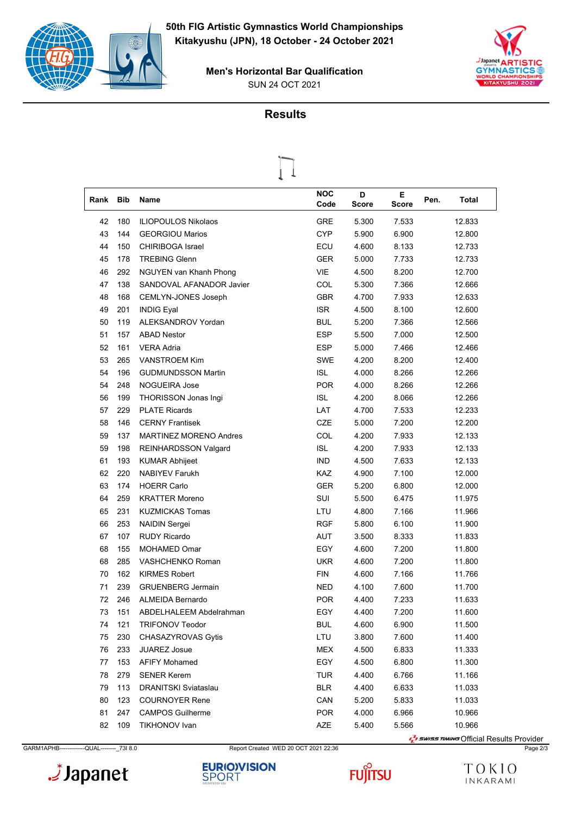

SUN 24 OCT 2021 **Men's Horizontal Bar Qualification**



|      |            | ъ                             |                    |            |                   |               |  |
|------|------------|-------------------------------|--------------------|------------|-------------------|---------------|--|
| Rank | <b>Bib</b> | Name                          | <b>NOC</b><br>Code | D<br>Score | Е<br><b>Score</b> | Pen.<br>Total |  |
| 42   | 180        | <b>ILIOPOULOS Nikolaos</b>    | <b>GRE</b>         | 5.300      | 7.533             | 12.833        |  |
| 43   | 144        | <b>GEORGIOU Marios</b>        | <b>CYP</b>         | 5.900      | 6.900             | 12.800        |  |
| 44   | 150        | <b>CHIRIBOGA Israel</b>       | ECU                | 4.600      | 8.133             | 12.733        |  |
| 45   | 178        | <b>TREBING Glenn</b>          | <b>GER</b>         | 5.000      | 7.733             | 12.733        |  |
| 46   | 292        | NGUYEN van Khanh Phong        | <b>VIE</b>         | 4.500      | 8.200             | 12.700        |  |
| 47   | 138        | SANDOVAL AFANADOR Javier      | COL                | 5.300      | 7.366             | 12.666        |  |
| 48   | 168        | CEMLYN-JONES Joseph           | <b>GBR</b>         | 4.700      | 7.933             | 12.633        |  |
| 49   | 201        | <b>INDIG Eyal</b>             | <b>ISR</b>         | 4.500      | 8.100             | 12.600        |  |
| 50   | 119        | ALEKSANDROV Yordan            | <b>BUL</b>         | 5.200      | 7.366             | 12.566        |  |
| 51   | 157        | <b>ABAD Nestor</b>            | <b>ESP</b>         | 5.500      | 7.000             | 12.500        |  |
| 52   | 161        | <b>VERA Adria</b>             | <b>ESP</b>         | 5.000      | 7.466             | 12.466        |  |
| 53   | 265        | <b>VANSTROEM Kim</b>          | <b>SWE</b>         | 4.200      | 8.200             | 12.400        |  |
| 54   | 196        | <b>GUDMUNDSSON Martin</b>     | <b>ISL</b>         | 4.000      | 8.266             | 12.266        |  |
| 54   | 248        | <b>NOGUEIRA Jose</b>          | <b>POR</b>         | 4.000      | 8.266             | 12.266        |  |
| 56   | 199        | THORISSON Jonas Ingi          | <b>ISL</b>         | 4.200      | 8.066             | 12.266        |  |
| 57   | 229        | <b>PLATE Ricards</b>          | LAT                | 4.700      | 7.533             | 12.233        |  |
| 58   | 146        | <b>CERNY Frantisek</b>        | <b>CZE</b>         | 5.000      | 7.200             | 12.200        |  |
| 59   | 137        | <b>MARTINEZ MORENO Andres</b> | COL                | 4.200      | 7.933             | 12.133        |  |
| 59   | 198        | <b>REINHARDSSON Valgard</b>   | <b>ISL</b>         | 4.200      | 7.933             | 12.133        |  |
| 61   | 193        | <b>KUMAR Abhijeet</b>         | <b>IND</b>         | 4.500      | 7.633             | 12.133        |  |
| 62   | 220        | <b>NABIYEV Farukh</b>         | <b>KAZ</b>         | 4.900      | 7.100             | 12.000        |  |
| 63   | 174        | <b>HOERR Carlo</b>            | <b>GER</b>         | 5.200      | 6.800             | 12.000        |  |
| 64   | 259        | <b>KRATTER Moreno</b>         | SUI                | 5.500      | 6.475             | 11.975        |  |
| 65   | 231        | <b>KUZMICKAS Tomas</b>        | LTU                | 4.800      | 7.166             | 11.966        |  |
| 66   | 253        | <b>NAIDIN Sergei</b>          | <b>RGF</b>         | 5.800      | 6.100             | 11.900        |  |
| 67   | 107        | <b>RUDY Ricardo</b>           | AUT                | 3.500      | 8.333             | 11.833        |  |
| 68   | 155        | MOHAMED Omar                  | EGY                | 4.600      | 7.200             | 11.800        |  |
| 68   | 285        | VASHCHENKO Roman              | <b>UKR</b>         | 4.600      | 7.200             | 11.800        |  |
| 70   | 162        | <b>KIRMES Robert</b>          | <b>FIN</b>         | 4.600      | 7.166             | 11.766        |  |
| 71   | 239        | <b>GRUENBERG Jermain</b>      | NED                | 4.100      | 7.600             | 11.700        |  |
| 72   | 246        | <b>ALMEIDA Bernardo</b>       | <b>POR</b>         | 4.400      | 7.233             | 11.633        |  |
| 73   | 151        | ABDELHALEEM Abdelrahman       | EGY                | 4.400      | 7.200             | 11.600        |  |
| 74   | 121        | <b>TRIFONOV Teodor</b>        | BUL                | 4.600      | 6.900             | 11.500        |  |
| 75   | 230        | CHASAZYROVAS Gytis            | LTU                | 3.800      | 7.600             | 11.400        |  |
| 76   | 233        | <b>JUAREZ Josue</b>           | <b>MEX</b>         | 4.500      | 6.833             | 11.333        |  |
| 77   | 153        | <b>AFIFY Mohamed</b>          | EGY                | 4.500      | 6.800             | 11.300        |  |
| 78   | 279        | <b>SENER Kerem</b>            | <b>TUR</b>         | 4.400      | 6.766             | 11.166        |  |
| 79   | 113        | <b>DRANITSKI Sviataslau</b>   | <b>BLR</b>         | 4.400      | 6.633             | 11.033        |  |
| 80   | 123        | <b>COURNOYER Rene</b>         | CAN                | 5.200      | 5.833             | 11.033        |  |
| 81   | 247        | <b>CAMPOS Guilherme</b>       | POR                | 4.000      | 6.966             | 10.966        |  |
| 82   | 109        | <b>TIKHONOV Ivan</b>          | AZE                | 5.400      | 5.566             | 10.966        |  |



**T** swiss TIMING Official Results Provider